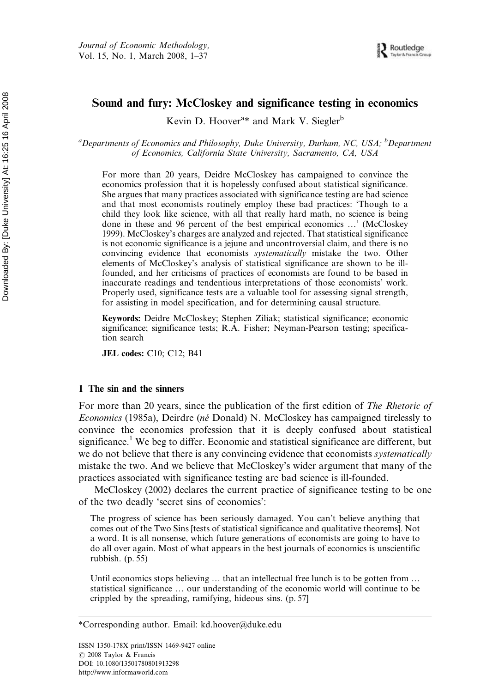# Sound and fury: McCloskey and significance testing in economics

Kevin D. Hoover<sup>a\*</sup> and Mark V. Siegler<sup>b</sup>

 ${}^a\!D$ epartments of Economics and Philosophy, Duke University, Durham, NC, USA;  ${}^b\!D$ epartment of Economics, California State University, Sacramento, CA, USA

For more than 20 years, Deidre McCloskey has campaigned to convince the economics profession that it is hopelessly confused about statistical significance. She argues that many practices associated with significance testing are bad science and that most economists routinely employ these bad practices: 'Though to a child they look like science, with all that really hard math, no science is being done in these and 96 percent of the best empirical economics …' (McCloskey 1999). McCloskey's charges are analyzed and rejected. That statistical significance is not economic significance is a jejune and uncontroversial claim, and there is no convincing evidence that economists systematically mistake the two. Other elements of McCloskey's analysis of statistical significance are shown to be illfounded, and her criticisms of practices of economists are found to be based in inaccurate readings and tendentious interpretations of those economists' work. Properly used, significance tests are a valuable tool for assessing signal strength, for assisting in model specification, and for determining causal structure.

Keywords: Deidre McCloskey; Stephen Ziliak; statistical significance; economic significance; significance tests; R.A. Fisher; Neyman-Pearson testing; specification search

JEL codes: C10; C12; B41

### 1 The sin and the sinners

For more than 20 years, since the publication of the first edition of The Rhetoric of Economics (1985a), Deirdre (né Donald) N. McCloskey has campaigned tirelessly to convince the economics profession that it is deeply confused about statistical significance.<sup>1</sup> We beg to differ. Economic and statistical significance are different, but we do not believe that there is any convincing evidence that economists *systematically* mistake the two. And we believe that McCloskey's wider argument that many of the practices associated with significance testing are bad science is ill-founded.

McCloskey (2002) declares the current practice of significance testing to be one of the two deadly 'secret sins of economics':

The progress of science has been seriously damaged. You can't believe anything that comes out of the Two Sins [tests of statistical significance and qualitative theorems]. Not a word. It is all nonsense, which future generations of economists are going to have to do all over again. Most of what appears in the best journals of economics is unscientific rubbish. (p. 55)

Until economics stops believing ... that an intellectual free lunch is to be gotten from ... statistical significance … our understanding of the economic world will continue to be crippled by the spreading, ramifying, hideous sins. (p. 57]

<sup>\*</sup>Corresponding author. Email: kd.hoover@duke.edu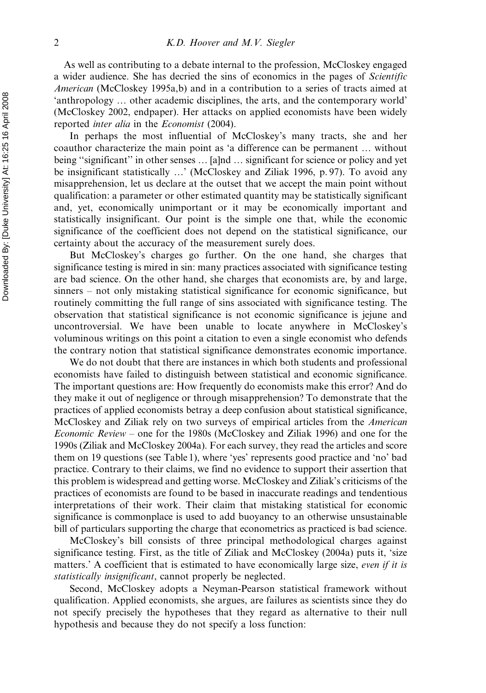As well as contributing to a debate internal to the profession, McCloskey engaged a wider audience. She has decried the sins of economics in the pages of Scientific American (McCloskey 1995a,b) and in a contribution to a series of tracts aimed at 'anthropology … other academic disciplines, the arts, and the contemporary world' (McCloskey 2002, endpaper). Her attacks on applied economists have been widely reported inter alia in the Economist (2004).

In perhaps the most influential of McCloskey's many tracts, she and her coauthor characterize the main point as 'a difference can be permanent … without being ''significant'' in other senses … [a]nd … significant for science or policy and yet be insignificant statistically …' (McCloskey and Ziliak 1996, p. 97). To avoid any misapprehension, let us declare at the outset that we accept the main point without qualification: a parameter or other estimated quantity may be statistically significant and, yet, economically unimportant or it may be economically important and statistically insignificant. Our point is the simple one that, while the economic significance of the coefficient does not depend on the statistical significance, our certainty about the accuracy of the measurement surely does.

But McCloskey's charges go further. On the one hand, she charges that significance testing is mired in sin: many practices associated with significance testing are bad science. On the other hand, she charges that economists are, by and large, sinners – not only mistaking statistical significance for economic significance, but routinely committing the full range of sins associated with significance testing. The observation that statistical significance is not economic significance is jejune and uncontroversial. We have been unable to locate anywhere in McCloskey's voluminous writings on this point a citation to even a single economist who defends the contrary notion that statistical significance demonstrates economic importance.

We do not doubt that there are instances in which both students and professional economists have failed to distinguish between statistical and economic significance. The important questions are: How frequently do economists make this error? And do they make it out of negligence or through misapprehension? To demonstrate that the practices of applied economists betray a deep confusion about statistical significance, McCloskey and Ziliak rely on two surveys of empirical articles from the American Economic Review – one for the 1980s (McCloskey and Ziliak 1996) and one for the 1990s (Ziliak and McCloskey 2004a). For each survey, they read the articles and score them on 19 questions (see Table 1), where 'yes' represents good practice and 'no' bad practice. Contrary to their claims, we find no evidence to support their assertion that this problem is widespread and getting worse. McCloskey and Ziliak's criticisms of the practices of economists are found to be based in inaccurate readings and tendentious interpretations of their work. Their claim that mistaking statistical for economic significance is commonplace is used to add buoyancy to an otherwise unsustainable bill of particulars supporting the charge that econometrics as practiced is bad science.

McCloskey's bill consists of three principal methodological charges against significance testing. First, as the title of Ziliak and McCloskey (2004a) puts it, 'size matters.' A coefficient that is estimated to have economically large size, even if it is statistically insignificant, cannot properly be neglected.

Second, McCloskey adopts a Neyman-Pearson statistical framework without qualification. Applied economists, she argues, are failures as scientists since they do not specify precisely the hypotheses that they regard as alternative to their null hypothesis and because they do not specify a loss function: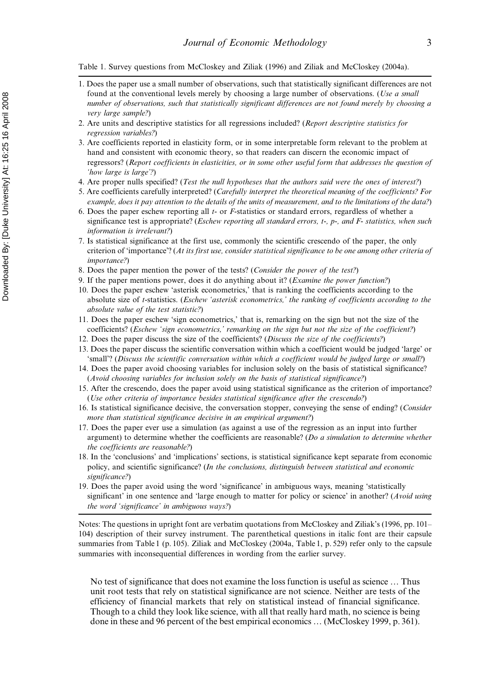- 1. Does the paper use a small number of observations, such that statistically significant differences are not found at the conventional levels merely by choosing a large number of observations. (Use a small number of observations, such that statistically significant differences are not found merely by choosing a very large sample?)
- 2. Are units and descriptive statistics for all regressions included? (Report descriptive statistics for regression variables?)
- 3. Are coefficients reported in elasticity form, or in some interpretable form relevant to the problem at hand and consistent with economic theory, so that readers can discern the economic impact of regressors? (Report coefficients in elasticities, or in some other useful form that addresses the question of 'how large is large'?)
- 4. Are proper nulls specified? (Test the null hypotheses that the authors said were the ones of interest?)
- 5. Are coefficients carefully interpreted? (Carefully interpret the theoretical meaning of the coefficients? For example, does it pay attention to the details of the units of measurement, and to the limitations of the data?)
- 6. Does the paper eschew reporting all t- or F-statistics or standard errors, regardless of whether a significance test is appropriate? (*Eschew reporting all standard errors, t-, p-, and F- statistics, when such* information is irrelevant?)
- 7. Is statistical significance at the first use, commonly the scientific crescendo of the paper, the only criterion of 'importance'? (At its first use, consider statistical significance to be one among other criteria of importance?)
- 8. Does the paper mention the power of the tests? (Consider the power of the test?)
- 9. If the paper mentions power, does it do anything about it? (Examine the power function?)
- 10. Does the paper eschew 'asterisk econometrics,' that is ranking the coefficients according to the absolute size of t-statistics. (Eschew 'asterisk econometrics,' the ranking of coefficients according to the absolute value of the test statistic?)
- 11. Does the paper eschew 'sign econometrics,' that is, remarking on the sign but not the size of the coefficients? (Eschew 'sign econometrics,' remarking on the sign but not the size of the coefficient?)
- 12. Does the paper discuss the size of the coefficients? (Discuss the size of the coefficients?)
- 13. Does the paper discuss the scientific conversation within which a coefficient would be judged 'large' or 'small'? (Discuss the scientific conversation within which a coefficient would be judged large or small?)
- 14. Does the paper avoid choosing variables for inclusion solely on the basis of statistical significance? (Avoid choosing variables for inclusion solely on the basis of statistical significance?)
- 15. After the crescendo, does the paper avoid using statistical significance as the criterion of importance? (Use other criteria of importance besides statistical significance after the crescendo?)
- 16. Is statistical significance decisive, the conversation stopper, conveying the sense of ending? (Consider more than statistical significance decisive in an empirical argument?)
- 17. Does the paper ever use a simulation (as against a use of the regression as an input into further argument) to determine whether the coefficients are reasonable? (Do a simulation to determine whether the coefficients are reasonable?)
- 18. In the 'conclusions' and 'implications' sections, is statistical significance kept separate from economic policy, and scientific significance? (In the conclusions, distinguish between statistical and economic significance?)
- 19. Does the paper avoid using the word 'significance' in ambiguous ways, meaning 'statistically significant' in one sentence and 'large enough to matter for policy or science' in another? (*Avoid using* the word 'significance' in ambiguous ways?)

Notes: The questions in upright font are verbatim quotations from McCloskey and Ziliak's (1996, pp. 101– 104) description of their survey instrument. The parenthetical questions in italic font are their capsule summaries from Table 1 (p. 105). Ziliak and McCloskey (2004a, Table 1, p. 529) refer only to the capsule summaries with inconsequential differences in wording from the earlier survey.

No test of significance that does not examine the loss function is useful as science … Thus unit root tests that rely on statistical significance are not science. Neither are tests of the efficiency of financial markets that rely on statistical instead of financial significance. Though to a child they look like science, with all that really hard math, no science is being done in these and 96 percent of the best empirical economics … (McCloskey 1999, p. 361).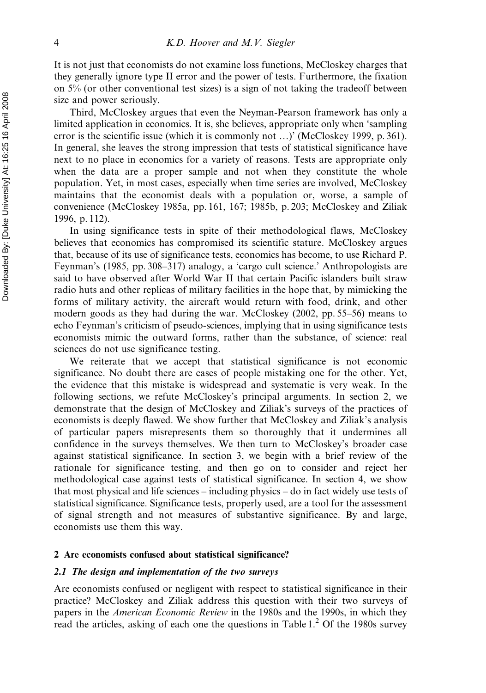It is not just that economists do not examine loss functions, McCloskey charges that they generally ignore type II error and the power of tests. Furthermore, the fixation on 5% (or other conventional test sizes) is a sign of not taking the tradeoff between size and power seriously.

Third, McCloskey argues that even the Neyman-Pearson framework has only a limited application in economics. It is, she believes, appropriate only when 'sampling error is the scientific issue (which it is commonly not …)' (McCloskey 1999, p. 361). In general, she leaves the strong impression that tests of statistical significance have next to no place in economics for a variety of reasons. Tests are appropriate only when the data are a proper sample and not when they constitute the whole population. Yet, in most cases, especially when time series are involved, McCloskey maintains that the economist deals with a population or, worse, a sample of convenience (McCloskey 1985a, pp. 161, 167; 1985b, p. 203; McCloskey and Ziliak 1996, p. 112).

In using significance tests in spite of their methodological flaws, McCloskey believes that economics has compromised its scientific stature. McCloskey argues that, because of its use of significance tests, economics has become, to use Richard P. Feynman's (1985, pp. 308–317) analogy, a 'cargo cult science.' Anthropologists are said to have observed after World War II that certain Pacific islanders built straw radio huts and other replicas of military facilities in the hope that, by mimicking the forms of military activity, the aircraft would return with food, drink, and other modern goods as they had during the war. McCloskey (2002, pp. 55–56) means to echo Feynman's criticism of pseudo-sciences, implying that in using significance tests economists mimic the outward forms, rather than the substance, of science: real sciences do not use significance testing.

We reiterate that we accept that statistical significance is not economic significance. No doubt there are cases of people mistaking one for the other. Yet, the evidence that this mistake is widespread and systematic is very weak. In the following sections, we refute McCloskey's principal arguments. In section 2, we demonstrate that the design of McCloskey and Ziliak's surveys of the practices of economists is deeply flawed. We show further that McCloskey and Ziliak's analysis of particular papers misrepresents them so thoroughly that it undermines all confidence in the surveys themselves. We then turn to McCloskey's broader case against statistical significance. In section 3, we begin with a brief review of the rationale for significance testing, and then go on to consider and reject her methodological case against tests of statistical significance. In section 4, we show that most physical and life sciences – including physics – do in fact widely use tests of statistical significance. Significance tests, properly used, are a tool for the assessment of signal strength and not measures of substantive significance. By and large, economists use them this way.

### 2 Are economists confused about statistical significance?

#### 2.1 The design and implementation of the two surveys

Are economists confused or negligent with respect to statistical significance in their practice? McCloskey and Ziliak address this question with their two surveys of papers in the American Economic Review in the 1980s and the 1990s, in which they read the articles, asking of each one the questions in Table  $1<sup>2</sup>$  Of the 1980s survey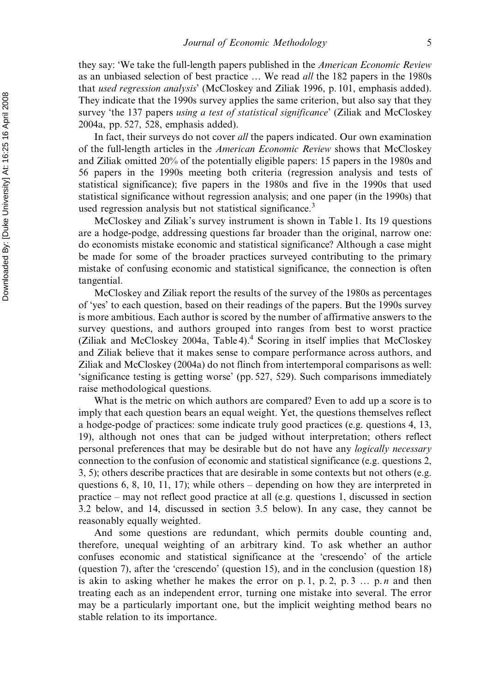they say: 'We take the full-length papers published in the American Economic Review as an unbiased selection of best practice … We read all the 182 papers in the 1980s that used regression analysis' (McCloskey and Ziliak 1996, p. 101, emphasis added). They indicate that the 1990s survey applies the same criterion, but also say that they survey 'the 137 papers using a test of statistical significance' (Ziliak and McCloskey 2004a, pp. 527, 528, emphasis added).

In fact, their surveys do not cover all the papers indicated. Our own examination of the full-length articles in the American Economic Review shows that McCloskey and Ziliak omitted 20% of the potentially eligible papers: 15 papers in the 1980s and 56 papers in the 1990s meeting both criteria (regression analysis and tests of statistical significance); five papers in the 1980s and five in the 1990s that used statistical significance without regression analysis; and one paper (in the 1990s) that used regression analysis but not statistical significance.<sup>3</sup>

McCloskey and Ziliak's survey instrument is shown in Table 1. Its 19 questions are a hodge-podge, addressing questions far broader than the original, narrow one: do economists mistake economic and statistical significance? Although a case might be made for some of the broader practices surveyed contributing to the primary mistake of confusing economic and statistical significance, the connection is often tangential.

McCloskey and Ziliak report the results of the survey of the 1980s as percentages of 'yes' to each question, based on their readings of the papers. But the 1990s survey is more ambitious. Each author is scored by the number of affirmative answers to the survey questions, and authors grouped into ranges from best to worst practice (Ziliak and McCloskey 2004a, Table 4).<sup>4</sup> Scoring in itself implies that McCloskey and Ziliak believe that it makes sense to compare performance across authors, and Ziliak and McCloskey (2004a) do not flinch from intertemporal comparisons as well: 'significance testing is getting worse' (pp. 527, 529). Such comparisons immediately raise methodological questions.

What is the metric on which authors are compared? Even to add up a score is to imply that each question bears an equal weight. Yet, the questions themselves reflect a hodge-podge of practices: some indicate truly good practices (e.g. questions 4, 13, 19), although not ones that can be judged without interpretation; others reflect personal preferences that may be desirable but do not have any logically necessary connection to the confusion of economic and statistical significance (e.g. questions 2, 3, 5); others describe practices that are desirable in some contexts but not others (e.g. questions 6, 8, 10, 11, 17); while others – depending on how they are interpreted in practice – may not reflect good practice at all (e.g. questions 1, discussed in section 3.2 below, and 14, discussed in section 3.5 below). In any case, they cannot be reasonably equally weighted.

And some questions are redundant, which permits double counting and, therefore, unequal weighting of an arbitrary kind. To ask whether an author confuses economic and statistical significance at the 'crescendo' of the article (question 7), after the 'crescendo' (question 15), and in the conclusion (question 18) is akin to asking whether he makes the error on p. 1, p. 2, p. 3  $\ldots$  p. *n* and then treating each as an independent error, turning one mistake into several. The error may be a particularly important one, but the implicit weighting method bears no stable relation to its importance.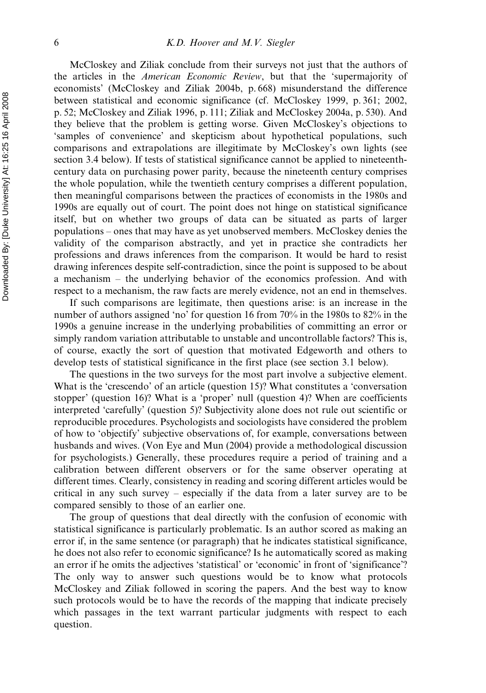McCloskey and Ziliak conclude from their surveys not just that the authors of the articles in the American Economic Review, but that the 'supermajority of economists' (McCloskey and Ziliak 2004b, p. 668) misunderstand the difference between statistical and economic significance (cf. McCloskey 1999, p. 361; 2002, p. 52; McCloskey and Ziliak 1996, p. 111; Ziliak and McCloskey 2004a, p. 530). And they believe that the problem is getting worse. Given McCloskey's objections to 'samples of convenience' and skepticism about hypothetical populations, such comparisons and extrapolations are illegitimate by McCloskey's own lights (see section 3.4 below). If tests of statistical significance cannot be applied to nineteenthcentury data on purchasing power parity, because the nineteenth century comprises the whole population, while the twentieth century comprises a different population, then meaningful comparisons between the practices of economists in the 1980s and 1990s are equally out of court. The point does not hinge on statistical significance itself, but on whether two groups of data can be situated as parts of larger populations – ones that may have as yet unobserved members. McCloskey denies the validity of the comparison abstractly, and yet in practice she contradicts her professions and draws inferences from the comparison. It would be hard to resist drawing inferences despite self-contradiction, since the point is supposed to be about a mechanism – the underlying behavior of the economics profession. And with respect to a mechanism, the raw facts are merely evidence, not an end in themselves.

If such comparisons are legitimate, then questions arise: is an increase in the number of authors assigned 'no' for question 16 from 70% in the 1980s to 82% in the 1990s a genuine increase in the underlying probabilities of committing an error or simply random variation attributable to unstable and uncontrollable factors? This is, of course, exactly the sort of question that motivated Edgeworth and others to develop tests of statistical significance in the first place (see section 3.1 below).

The questions in the two surveys for the most part involve a subjective element. What is the 'crescendo' of an article (question 15)? What constitutes a 'conversation stopper' (question 16)? What is a 'proper' null (question 4)? When are coefficients interpreted 'carefully' (question 5)? Subjectivity alone does not rule out scientific or reproducible procedures. Psychologists and sociologists have considered the problem of how to 'objectify' subjective observations of, for example, conversations between husbands and wives. (Von Eye and Mun (2004) provide a methodological discussion for psychologists.) Generally, these procedures require a period of training and a calibration between different observers or for the same observer operating at different times. Clearly, consistency in reading and scoring different articles would be critical in any such survey – especially if the data from a later survey are to be compared sensibly to those of an earlier one.

The group of questions that deal directly with the confusion of economic with statistical significance is particularly problematic. Is an author scored as making an error if, in the same sentence (or paragraph) that he indicates statistical significance, he does not also refer to economic significance? Is he automatically scored as making an error if he omits the adjectives 'statistical' or 'economic' in front of 'significance'? The only way to answer such questions would be to know what protocols McCloskey and Ziliak followed in scoring the papers. And the best way to know such protocols would be to have the records of the mapping that indicate precisely which passages in the text warrant particular judgments with respect to each question.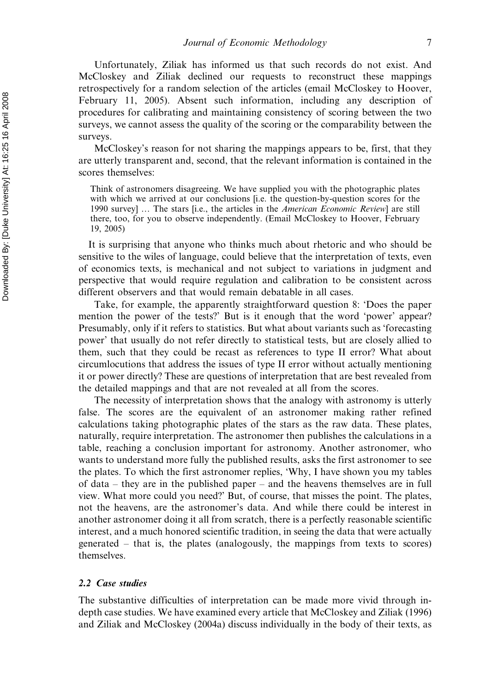Unfortunately, Ziliak has informed us that such records do not exist. And McCloskey and Ziliak declined our requests to reconstruct these mappings retrospectively for a random selection of the articles (email McCloskey to Hoover, February 11, 2005). Absent such information, including any description of procedures for calibrating and maintaining consistency of scoring between the two surveys, we cannot assess the quality of the scoring or the comparability between the surveys.

McCloskey's reason for not sharing the mappings appears to be, first, that they are utterly transparent and, second, that the relevant information is contained in the scores themselves:

Think of astronomers disagreeing. We have supplied you with the photographic plates with which we arrived at our conclusions [i.e. the question-by-question scores for the 1990 survey] ... The stars [i.e., the articles in the *American Economic Review*] are still there, too, for you to observe independently. (Email McCloskey to Hoover, February 19, 2005)

It is surprising that anyone who thinks much about rhetoric and who should be sensitive to the wiles of language, could believe that the interpretation of texts, even of economics texts, is mechanical and not subject to variations in judgment and perspective that would require regulation and calibration to be consistent across different observers and that would remain debatable in all cases.

Take, for example, the apparently straightforward question 8: 'Does the paper mention the power of the tests?' But is it enough that the word 'power' appear? Presumably, only if it refers to statistics. But what about variants such as 'forecasting power' that usually do not refer directly to statistical tests, but are closely allied to them, such that they could be recast as references to type II error? What about circumlocutions that address the issues of type II error without actually mentioning it or power directly? These are questions of interpretation that are best revealed from the detailed mappings and that are not revealed at all from the scores.

The necessity of interpretation shows that the analogy with astronomy is utterly false. The scores are the equivalent of an astronomer making rather refined calculations taking photographic plates of the stars as the raw data. These plates, naturally, require interpretation. The astronomer then publishes the calculations in a table, reaching a conclusion important for astronomy. Another astronomer, who wants to understand more fully the published results, asks the first astronomer to see the plates. To which the first astronomer replies, 'Why, I have shown you my tables of data – they are in the published paper – and the heavens themselves are in full view. What more could you need?' But, of course, that misses the point. The plates, not the heavens, are the astronomer's data. And while there could be interest in another astronomer doing it all from scratch, there is a perfectly reasonable scientific interest, and a much honored scientific tradition, in seeing the data that were actually generated – that is, the plates (analogously, the mappings from texts to scores) themselves.

### 2.2 Case studies

The substantive difficulties of interpretation can be made more vivid through indepth case studies. We have examined every article that McCloskey and Ziliak (1996) and Ziliak and McCloskey (2004a) discuss individually in the body of their texts, as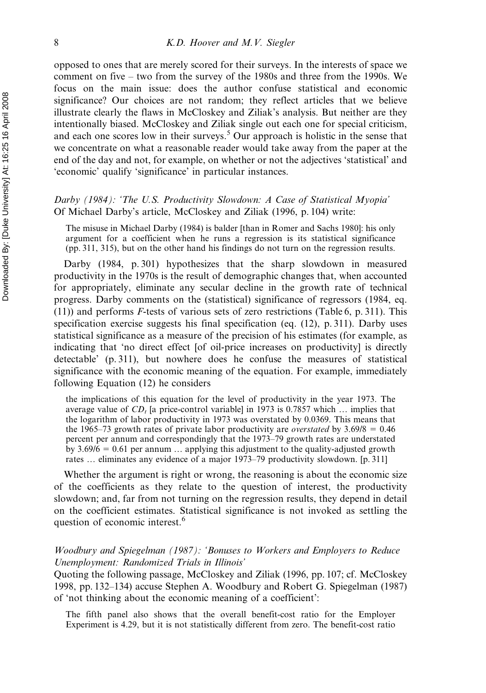opposed to ones that are merely scored for their surveys. In the interests of space we comment on five – two from the survey of the 1980s and three from the 1990s. We focus on the main issue: does the author confuse statistical and economic significance? Our choices are not random; they reflect articles that we believe illustrate clearly the flaws in McCloskey and Ziliak's analysis. But neither are they intentionally biased. McCloskey and Ziliak single out each one for special criticism, and each one scores low in their surveys.<sup>5</sup> Our approach is holistic in the sense that we concentrate on what a reasonable reader would take away from the paper at the end of the day and not, for example, on whether or not the adjectives 'statistical' and 'economic' qualify 'significance' in particular instances.

## Darby (1984): 'The U.S. Productivity Slowdown: A Case of Statistical Myopia' Of Michael Darby's article, McCloskey and Ziliak (1996, p. 104) write:

The misuse in Michael Darby (1984) is balder [than in Romer and Sachs 1980]: his only argument for a coefficient when he runs a regression is its statistical significance (pp. 311, 315), but on the other hand his findings do not turn on the regression results.

Darby (1984, p. 301) hypothesizes that the sharp slowdown in measured productivity in the 1970s is the result of demographic changes that, when accounted for appropriately, eliminate any secular decline in the growth rate of technical progress. Darby comments on the (statistical) significance of regressors (1984, eq.  $(11)$ ) and performs *F*-tests of various sets of zero restrictions (Table 6, p. 311). This specification exercise suggests his final specification (eq. (12), p. 311). Darby uses statistical significance as a measure of the precision of his estimates (for example, as indicating that 'no direct effect [of oil-price increases on productivity] is directly detectable' (p. 311), but nowhere does he confuse the measures of statistical significance with the economic meaning of the equation. For example, immediately following Equation (12) he considers

the implications of this equation for the level of productivity in the year 1973. The average value of  $CD_t$  [a price-control variable] in 1973 is 0.7857 which ... implies that the logarithm of labor productivity in 1973 was overstated by 0.0369. This means that the 1965–73 growth rates of private labor productivity are *overstated* by  $3.69/8 = 0.46$ percent per annum and correspondingly that the 1973–79 growth rates are understated by  $3.69/6 = 0.61$  per annum ... applying this adjustment to the quality-adjusted growth rates … eliminates any evidence of a major 1973–79 productivity slowdown. [p. 311]

Whether the argument is right or wrong, the reasoning is about the economic size of the coefficients as they relate to the question of interest, the productivity slowdown; and, far from not turning on the regression results, they depend in detail on the coefficient estimates. Statistical significance is not invoked as settling the question of economic interest.<sup>6</sup>

## Woodbury and Spiegelman (1987): 'Bonuses to Workers and Employers to Reduce Unemployment: Randomized Trials in Illinois'

Quoting the following passage, McCloskey and Ziliak (1996, pp. 107; cf. McCloskey 1998, pp. 132–134) accuse Stephen A. Woodbury and Robert G. Spiegelman (1987) of 'not thinking about the economic meaning of a coefficient':

The fifth panel also shows that the overall benefit-cost ratio for the Employer Experiment is 4.29, but it is not statistically different from zero. The benefit-cost ratio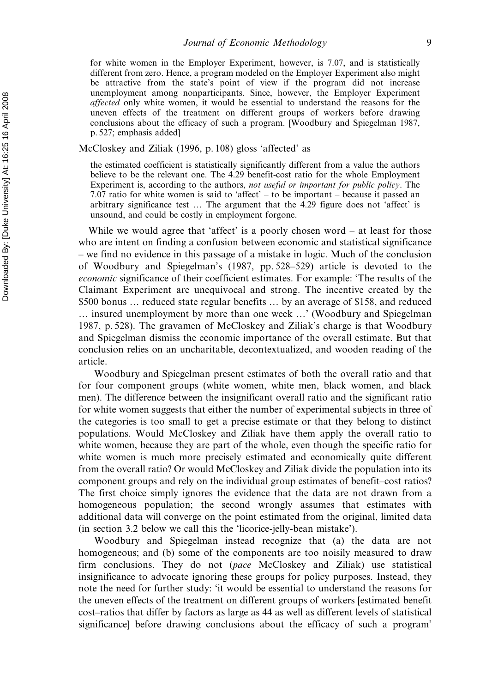for white women in the Employer Experiment, however, is 7.07, and is statistically different from zero. Hence, a program modeled on the Employer Experiment also might be attractive from the state's point of view if the program did not increase unemployment among nonparticipants. Since, however, the Employer Experiment affected only white women, it would be essential to understand the reasons for the uneven effects of the treatment on different groups of workers before drawing conclusions about the efficacy of such a program. [Woodbury and Spiegelman 1987, p. 527; emphasis added]

McCloskey and Ziliak (1996, p. 108) gloss 'affected' as

the estimated coefficient is statistically significantly different from a value the authors believe to be the relevant one. The 4.29 benefit-cost ratio for the whole Employment Experiment is, according to the authors, not useful or important for public policy. The 7.07 ratio for white women is said to 'affect' – to be important – because it passed an arbitrary significance test … The argument that the 4.29 figure does not 'affect' is unsound, and could be costly in employment forgone.

While we would agree that 'affect' is a poorly chosen word  $-$  at least for those who are intent on finding a confusion between economic and statistical significance – we find no evidence in this passage of a mistake in logic. Much of the conclusion of Woodbury and Spiegelman's (1987, pp. 528–529) article is devoted to the economic significance of their coefficient estimates. For example: 'The results of the Claimant Experiment are unequivocal and strong. The incentive created by the \$500 bonus … reduced state regular benefits … by an average of \$158, and reduced … insured unemployment by more than one week …' (Woodbury and Spiegelman 1987, p. 528). The gravamen of McCloskey and Ziliak's charge is that Woodbury and Spiegelman dismiss the economic importance of the overall estimate. But that conclusion relies on an uncharitable, decontextualized, and wooden reading of the article.

Woodbury and Spiegelman present estimates of both the overall ratio and that for four component groups (white women, white men, black women, and black men). The difference between the insignificant overall ratio and the significant ratio for white women suggests that either the number of experimental subjects in three of the categories is too small to get a precise estimate or that they belong to distinct populations. Would McCloskey and Ziliak have them apply the overall ratio to white women, because they are part of the whole, even though the specific ratio for white women is much more precisely estimated and economically quite different from the overall ratio? Or would McCloskey and Ziliak divide the population into its component groups and rely on the individual group estimates of benefit–cost ratios? The first choice simply ignores the evidence that the data are not drawn from a homogeneous population; the second wrongly assumes that estimates with additional data will converge on the point estimated from the original, limited data (in section 3.2 below we call this the 'licorice-jelly-bean mistake').

Woodbury and Spiegelman instead recognize that (a) the data are not homogeneous; and (b) some of the components are too noisily measured to draw firm conclusions. They do not (pace McCloskey and Ziliak) use statistical insignificance to advocate ignoring these groups for policy purposes. Instead, they note the need for further study: 'it would be essential to understand the reasons for the uneven effects of the treatment on different groups of workers [estimated benefit cost–ratios that differ by factors as large as 44 as well as different levels of statistical significance] before drawing conclusions about the efficacy of such a program'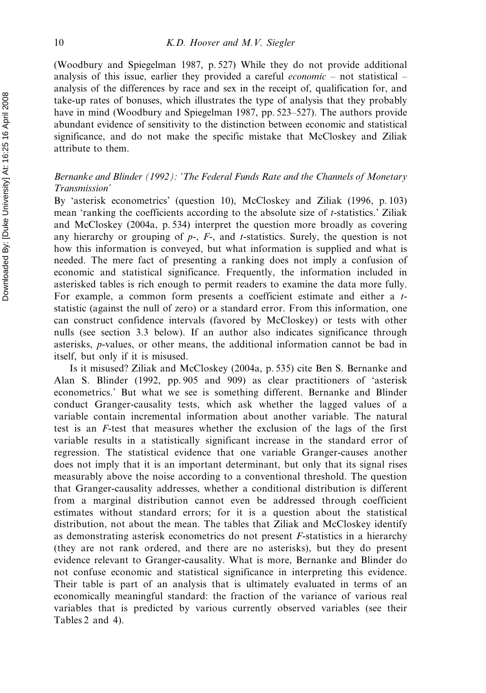(Woodbury and Spiegelman 1987, p. 527) While they do not provide additional analysis of this issue, earlier they provided a careful *economic* – not statistical – analysis of the differences by race and sex in the receipt of, qualification for, and take-up rates of bonuses, which illustrates the type of analysis that they probably have in mind (Woodbury and Spiegelman 1987, pp. 523–527). The authors provide abundant evidence of sensitivity to the distinction between economic and statistical significance, and do not make the specific mistake that McCloskey and Ziliak attribute to them.

# Bernanke and Blinder (1992): 'The Federal Funds Rate and the Channels of Monetary Transmission'

By 'asterisk econometrics' (question 10), McCloskey and Ziliak (1996, p. 103) mean 'ranking the coefficients according to the absolute size of t-statistics.' Ziliak and McCloskey (2004a, p. 534) interpret the question more broadly as covering any hierarchy or grouping of  $p$ -,  $F$ -, and t-statistics. Surely, the question is not how this information is conveyed, but what information is supplied and what is needed. The mere fact of presenting a ranking does not imply a confusion of economic and statistical significance. Frequently, the information included in asterisked tables is rich enough to permit readers to examine the data more fully. For example, a common form presents a coefficient estimate and either a tstatistic (against the null of zero) or a standard error. From this information, one can construct confidence intervals (favored by McCloskey) or tests with other nulls (see section 3.3 below). If an author also indicates significance through asterisks, p-values, or other means, the additional information cannot be bad in itself, but only if it is misused.

Is it misused? Ziliak and McCloskey (2004a, p. 535) cite Ben S. Bernanke and Alan S. Blinder (1992, pp. 905 and 909) as clear practitioners of 'asterisk econometrics.' But what we see is something different. Bernanke and Blinder conduct Granger-causality tests, which ask whether the lagged values of a variable contain incremental information about another variable. The natural test is an F-test that measures whether the exclusion of the lags of the first variable results in a statistically significant increase in the standard error of regression. The statistical evidence that one variable Granger-causes another does not imply that it is an important determinant, but only that its signal rises measurably above the noise according to a conventional threshold. The question that Granger-causality addresses, whether a conditional distribution is different from a marginal distribution cannot even be addressed through coefficient estimates without standard errors; for it is a question about the statistical distribution, not about the mean. The tables that Ziliak and McCloskey identify as demonstrating asterisk econometrics do not present F-statistics in a hierarchy (they are not rank ordered, and there are no asterisks), but they do present evidence relevant to Granger-causality. What is more, Bernanke and Blinder do not confuse economic and statistical significance in interpreting this evidence. Their table is part of an analysis that is ultimately evaluated in terms of an economically meaningful standard: the fraction of the variance of various real variables that is predicted by various currently observed variables (see their Tables 2 and 4).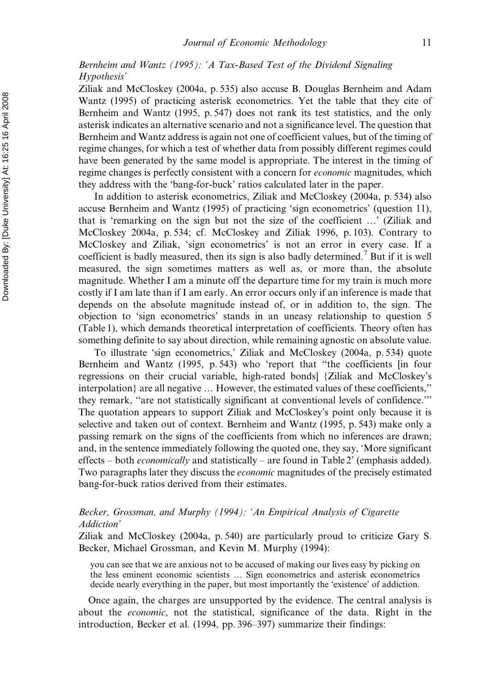# Bernheim and Wantz (1995): 'A Tax-Based Test of the Dividend Signaling Hypothesis'

Ziliak and McCloskey (2004a, p. 535) also accuse B. Douglas Bernheim and Adam Wantz (1995) of practicing asterisk econometrics. Yet the table that they cite of Bernheim and Wantz (1995, p. 547) does not rank its test statistics, and the only asterisk indicates an alternative scenario and not a significance level. The question that Bernheim and Wantz address is again not one of coefficient values, but of the timing of regime changes, for which a test of whether data from possibly different regimes could have been generated by the same model is appropriate. The interest in the timing of regime changes is perfectly consistent with a concern for *economic* magnitudes, which they address with the 'bang-for-buck' ratios calculated later in the paper.

In addition to asterisk econometrics, Ziliak and McCloskey (2004a, p. 534) also accuse Bernheim and Wantz (1995) of practicing 'sign econometrics' (question 11), that is 'remarking on the sign but not the size of the coefficient …' (Ziliak and McCloskey 2004a, p. 534; cf. McCloskey and Ziliak 1996, p. 103). Contrary to McCloskey and Ziliak, 'sign econometrics' is not an error in every case. If a coefficient is badly measured, then its sign is also badly determined.<sup>7</sup> But if it is well measured, the sign sometimes matters as well as, or more than, the absolute magnitude. Whether I am a minute off the departure time for my train is much more costly if I am late than if I am early. An error occurs only if an inference is made that depends on the absolute magnitude instead of, or in addition to, the sign. The objection to 'sign econometrics' stands in an uneasy relationship to question 5 (Table 1), which demands theoretical interpretation of coefficients. Theory often has something definite to say about direction, while remaining agnostic on absolute value.

To illustrate 'sign econometrics,' Ziliak and McCloskey (2004a, p. 534) quote Bernheim and Wantz (1995, p. 543) who 'report that ''the coefficients [in four regressions on their crucial variable, high-rated bonds] {Ziliak and McCloskey's interpolation} are all negative … However, the estimated values of these coefficients,'' they remark, ''are not statistically significant at conventional levels of confidence.''' The quotation appears to support Ziliak and McCloskey's point only because it is selective and taken out of context. Bernheim and Wantz (1995, p. 543) make only a passing remark on the signs of the coefficients from which no inferences are drawn; and, in the sentence immediately following the quoted one, they say, 'More significant effects – both *economically* and statistically – are found in Table 2' (emphasis added). Two paragraphs later they discuss the economic magnitudes of the precisely estimated bang-for-buck ratios derived from their estimates.

## Becker, Grossman, and Murphy (1994): 'An Empirical Analysis of Cigarette Addiction'

Ziliak and McCloskey (2004a, p. 540) are particularly proud to criticize Gary S. Becker, Michael Grossman, and Kevin M. Murphy (1994):

you can see that we are anxious not to be accused of making our lives easy by picking on the less eminent economic scientists … Sign econometrics and asterisk econometrics decide nearly everything in the paper, but most importantly the 'existence' of addiction.

Once again, the charges are unsupported by the evidence. The central analysis is about the economic, not the statistical, significance of the data. Right in the introduction, Becker et al. (1994, pp. 396–397) summarize their findings: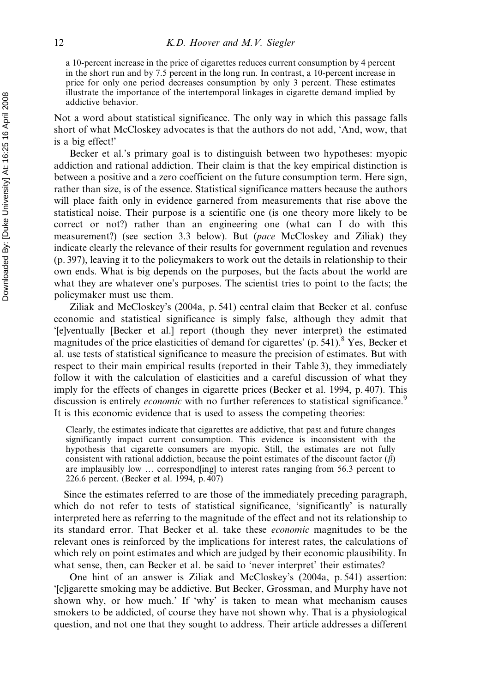a 10-percent increase in the price of cigarettes reduces current consumption by 4 percent in the short run and by 7.5 percent in the long run. In contrast, a 10-percent increase in price for only one period decreases consumption by only 3 percent. These estimates illustrate the importance of the intertemporal linkages in cigarette demand implied by addictive behavior.

Not a word about statistical significance. The only way in which this passage falls short of what McCloskey advocates is that the authors do not add, 'And, wow, that is a big effect!'

Becker et al.'s primary goal is to distinguish between two hypotheses: myopic addiction and rational addiction. Their claim is that the key empirical distinction is between a positive and a zero coefficient on the future consumption term. Here sign, rather than size, is of the essence. Statistical significance matters because the authors will place faith only in evidence garnered from measurements that rise above the statistical noise. Their purpose is a scientific one (is one theory more likely to be correct or not?) rather than an engineering one (what can I do with this measurement?) (see section 3.3 below). But (pace McCloskey and Ziliak) they indicate clearly the relevance of their results for government regulation and revenues (p. 397), leaving it to the policymakers to work out the details in relationship to their own ends. What is big depends on the purposes, but the facts about the world are what they are whatever one's purposes. The scientist tries to point to the facts; the policymaker must use them.

Ziliak and McCloskey's (2004a, p. 541) central claim that Becker et al. confuse economic and statistical significance is simply false, although they admit that '[e]ventually [Becker et al.] report (though they never interpret) the estimated magnitudes of the price elasticities of demand for cigarettes' (p. 541).<sup>8</sup> Yes, Becker et al. use tests of statistical significance to measure the precision of estimates. But with respect to their main empirical results (reported in their Table 3), they immediately follow it with the calculation of elasticities and a careful discussion of what they imply for the effects of changes in cigarette prices (Becker et al. 1994, p. 407). This discussion is entirely *economic* with no further references to statistical significance.<sup>9</sup> It is this economic evidence that is used to assess the competing theories:

Clearly, the estimates indicate that cigarettes are addictive, that past and future changes significantly impact current consumption. This evidence is inconsistent with the hypothesis that cigarette consumers are myopic. Still, the estimates are not fully consistent with rational addiction, because the point estimates of the discount factor  $(\beta)$ are implausibly low … correspond[ing] to interest rates ranging from 56.3 percent to 226.6 percent. (Becker et al. 1994, p. 407)

Since the estimates referred to are those of the immediately preceding paragraph, which do not refer to tests of statistical significance, 'significantly' is naturally interpreted here as referring to the magnitude of the effect and not its relationship to its standard error. That Becker et al. take these economic magnitudes to be the relevant ones is reinforced by the implications for interest rates, the calculations of which rely on point estimates and which are judged by their economic plausibility. In what sense, then, can Becker et al. be said to 'never interpret' their estimates?

One hint of an answer is Ziliak and McCloskey's (2004a, p. 541) assertion: '[c]igarette smoking may be addictive. But Becker, Grossman, and Murphy have not shown why, or how much.' If 'why' is taken to mean what mechanism causes smokers to be addicted, of course they have not shown why. That is a physiological question, and not one that they sought to address. Their article addresses a different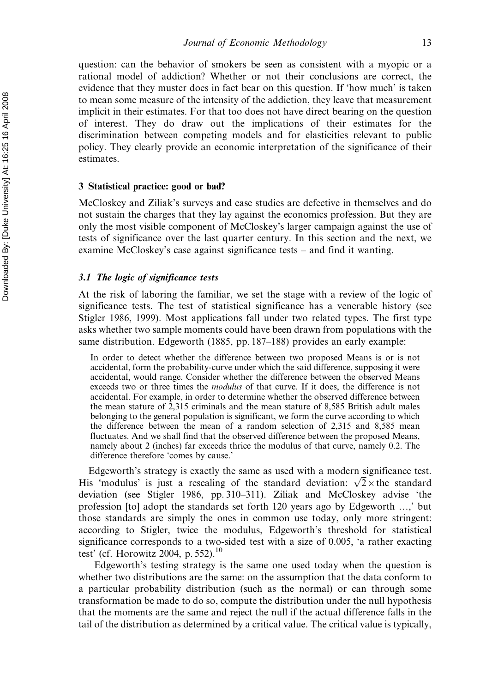question: can the behavior of smokers be seen as consistent with a myopic or a rational model of addiction? Whether or not their conclusions are correct, the evidence that they muster does in fact bear on this question. If 'how much' is taken to mean some measure of the intensity of the addiction, they leave that measurement implicit in their estimates. For that too does not have direct bearing on the question of interest. They do draw out the implications of their estimates for the discrimination between competing models and for elasticities relevant to public policy. They clearly provide an economic interpretation of the significance of their estimates.

### 3 Statistical practice: good or bad?

McCloskey and Ziliak's surveys and case studies are defective in themselves and do not sustain the charges that they lay against the economics profession. But they are only the most visible component of McCloskey's larger campaign against the use of tests of significance over the last quarter century. In this section and the next, we examine McCloskey's case against significance tests – and find it wanting.

## 3.1 The logic of significance tests

At the risk of laboring the familiar, we set the stage with a review of the logic of significance tests. The test of statistical significance has a venerable history (see Stigler 1986, 1999). Most applications fall under two related types. The first type asks whether two sample moments could have been drawn from populations with the same distribution. Edgeworth (1885, pp. 187–188) provides an early example:

In order to detect whether the difference between two proposed Means is or is not accidental, form the probability-curve under which the said difference, supposing it were accidental, would range. Consider whether the difference between the observed Means exceeds two or three times the *modulus* of that curve. If it does, the difference is not accidental. For example, in order to determine whether the observed difference between the mean stature of 2,315 criminals and the mean stature of 8,585 British adult males belonging to the general population is significant, we form the curve according to which the difference between the mean of a random selection of 2,315 and 8,585 mean fluctuates. And we shall find that the observed difference between the proposed Means, namely about 2 (inches) far exceeds thrice the modulus of that curve, namely 0.2. The difference therefore 'comes by cause.'

Edgeworth's strategy is exactly the same as used with a modern significance test. Edgeworth s strategy is exactly the same as used with a modern significance test.<br>His 'modulus' is just a rescaling of the standard deviation:  $\sqrt{2} \times$  the standard deviation (see Stigler 1986, pp. 310–311). Ziliak and McCloskey advise 'the profession [to] adopt the standards set forth 120 years ago by Edgeworth …,' but those standards are simply the ones in common use today, only more stringent: according to Stigler, twice the modulus, Edgeworth's threshold for statistical significance corresponds to a two-sided test with a size of 0.005, 'a rather exacting test' (cf. Horowitz 2004, p. 552).<sup>10</sup>

Edgeworth's testing strategy is the same one used today when the question is whether two distributions are the same: on the assumption that the data conform to a particular probability distribution (such as the normal) or can through some transformation be made to do so, compute the distribution under the null hypothesis that the moments are the same and reject the null if the actual difference falls in the tail of the distribution as determined by a critical value. The critical value is typically,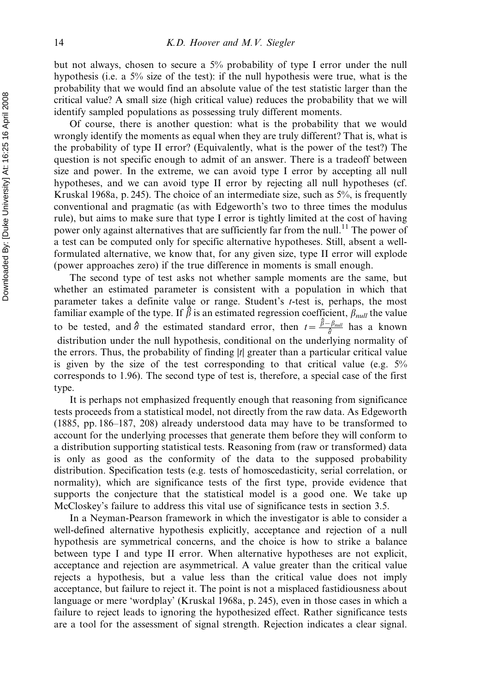but not always, chosen to secure a 5% probability of type I error under the null hypothesis (i.e. a 5% size of the test): if the null hypothesis were true, what is the probability that we would find an absolute value of the test statistic larger than the critical value? A small size (high critical value) reduces the probability that we will identify sampled populations as possessing truly different moments.

Of course, there is another question: what is the probability that we would wrongly identify the moments as equal when they are truly different? That is, what is the probability of type II error? (Equivalently, what is the power of the test?) The question is not specific enough to admit of an answer. There is a tradeoff between size and power. In the extreme, we can avoid type I error by accepting all null hypotheses, and we can avoid type II error by rejecting all null hypotheses (cf. Kruskal 1968a, p. 245). The choice of an intermediate size, such as 5%, is frequently conventional and pragmatic (as with Edgeworth's two to three times the modulus rule), but aims to make sure that type I error is tightly limited at the cost of having power only against alternatives that are sufficiently far from the null.<sup>11</sup> The power of a test can be computed only for specific alternative hypotheses. Still, absent a wellformulated alternative, we know that, for any given size, type II error will explode (power approaches zero) if the true difference in moments is small enough.

The second type of test asks not whether sample moments are the same, but whether an estimated parameter is consistent with a population in which that parameter takes a definite value or range. Student's t-test is, perhaps, the most familiar example of the type. If  $\hat{\beta}$  is an estimated regression coefficient,  $\beta_{null}$  the value to be tested, and  $\hat{\sigma}$  the estimated standard error, then  $t = \frac{\hat{\beta} - \beta_{null}}{\hat{\sigma}}$  has a known distribution under the null hypothesis, conditional on the underlying normality of the errors. Thus, the probability of finding  $|t|$  greater than a particular critical value is given by the size of the test corresponding to that critical value (e.g. 5% corresponds to 1.96). The second type of test is, therefore, a special case of the first type.

It is perhaps not emphasized frequently enough that reasoning from significance tests proceeds from a statistical model, not directly from the raw data. As Edgeworth (1885, pp. 186–187, 208) already understood data may have to be transformed to account for the underlying processes that generate them before they will conform to a distribution supporting statistical tests. Reasoning from (raw or transformed) data is only as good as the conformity of the data to the supposed probability distribution. Specification tests (e.g. tests of homoscedasticity, serial correlation, or normality), which are significance tests of the first type, provide evidence that supports the conjecture that the statistical model is a good one. We take up McCloskey's failure to address this vital use of significance tests in section 3.5.

In a Neyman-Pearson framework in which the investigator is able to consider a well-defined alternative hypothesis explicitly, acceptance and rejection of a null hypothesis are symmetrical concerns, and the choice is how to strike a balance between type I and type II error. When alternative hypotheses are not explicit, acceptance and rejection are asymmetrical. A value greater than the critical value rejects a hypothesis, but a value less than the critical value does not imply acceptance, but failure to reject it. The point is not a misplaced fastidiousness about language or mere 'wordplay' (Kruskal 1968a, p. 245), even in those cases in which a failure to reject leads to ignoring the hypothesized effect. Rather significance tests are a tool for the assessment of signal strength. Rejection indicates a clear signal.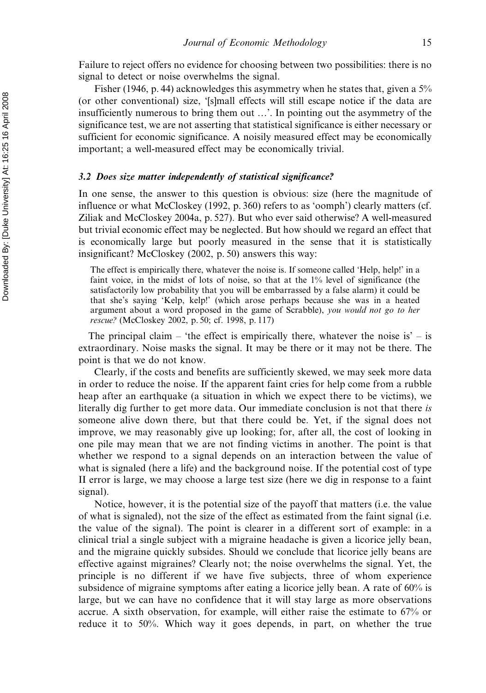Failure to reject offers no evidence for choosing between two possibilities: there is no signal to detect or noise overwhelms the signal.

Fisher (1946, p. 44) acknowledges this asymmetry when he states that, given a 5% (or other conventional) size, '[s]mall effects will still escape notice if the data are insufficiently numerous to bring them out …'. In pointing out the asymmetry of the significance test, we are not asserting that statistical significance is either necessary or sufficient for economic significance. A noisily measured effect may be economically important; a well-measured effect may be economically trivial.

### 3.2 Does size matter independently of statistical significance?

In one sense, the answer to this question is obvious: size (here the magnitude of influence or what McCloskey (1992, p. 360) refers to as 'oomph') clearly matters (cf. Ziliak and McCloskey 2004a, p. 527). But who ever said otherwise? A well-measured but trivial economic effect may be neglected. But how should we regard an effect that is economically large but poorly measured in the sense that it is statistically insignificant? McCloskey (2002, p. 50) answers this way:

The effect is empirically there, whatever the noise is. If someone called 'Help, help!' in a faint voice, in the midst of lots of noise, so that at the 1% level of significance (the satisfactorily low probability that you will be embarrassed by a false alarm) it could be that she's saying 'Kelp, kelp!' (which arose perhaps because she was in a heated argument about a word proposed in the game of Scrabble), you would not go to her rescue? (McCloskey 2002, p. 50; cf. 1998, p. 117)

The principal claim – 'the effect is empirically there, whatever the noise is' – is extraordinary. Noise masks the signal. It may be there or it may not be there. The point is that we do not know.

Clearly, if the costs and benefits are sufficiently skewed, we may seek more data in order to reduce the noise. If the apparent faint cries for help come from a rubble heap after an earthquake (a situation in which we expect there to be victims), we literally dig further to get more data. Our immediate conclusion is not that there is someone alive down there, but that there could be. Yet, if the signal does not improve, we may reasonably give up looking; for, after all, the cost of looking in one pile may mean that we are not finding victims in another. The point is that whether we respond to a signal depends on an interaction between the value of what is signaled (here a life) and the background noise. If the potential cost of type II error is large, we may choose a large test size (here we dig in response to a faint signal).

Notice, however, it is the potential size of the payoff that matters (i.e. the value of what is signaled), not the size of the effect as estimated from the faint signal (i.e. the value of the signal). The point is clearer in a different sort of example: in a clinical trial a single subject with a migraine headache is given a licorice jelly bean, and the migraine quickly subsides. Should we conclude that licorice jelly beans are effective against migraines? Clearly not; the noise overwhelms the signal. Yet, the principle is no different if we have five subjects, three of whom experience subsidence of migraine symptoms after eating a licorice jelly bean. A rate of 60% is large, but we can have no confidence that it will stay large as more observations accrue. A sixth observation, for example, will either raise the estimate to 67% or reduce it to 50%. Which way it goes depends, in part, on whether the true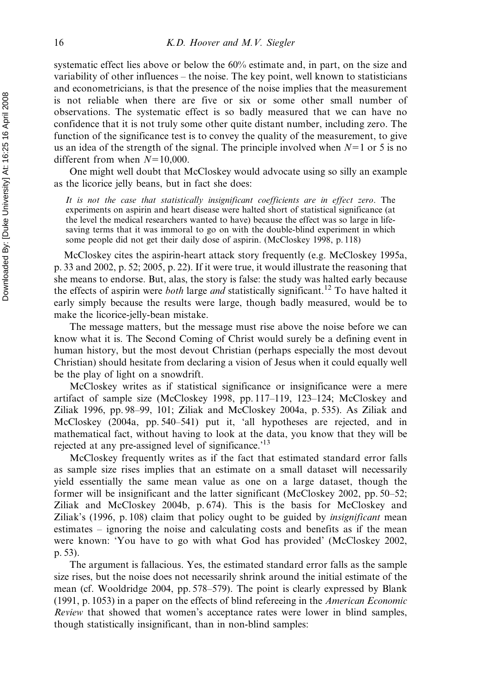systematic effect lies above or below the 60% estimate and, in part, on the size and variability of other influences – the noise. The key point, well known to statisticians and econometricians, is that the presence of the noise implies that the measurement is not reliable when there are five or six or some other small number of observations. The systematic effect is so badly measured that we can have no confidence that it is not truly some other quite distant number, including zero. The function of the significance test is to convey the quality of the measurement, to give us an idea of the strength of the signal. The principle involved when  $N=1$  or 5 is no different from when  $N=10,000$ .

One might well doubt that McCloskey would advocate using so silly an example as the licorice jelly beans, but in fact she does:

It is not the case that statistically insignificant coefficients are in effect zero. The experiments on aspirin and heart disease were halted short of statistical significance (at the level the medical researchers wanted to have) because the effect was so large in lifesaving terms that it was immoral to go on with the double-blind experiment in which some people did not get their daily dose of aspirin. (McCloskey 1998, p. 118)

McCloskey cites the aspirin-heart attack story frequently (e.g. McCloskey 1995a, p. 33 and 2002, p. 52; 2005, p. 22). If it were true, it would illustrate the reasoning that she means to endorse. But, alas, the story is false: the study was halted early because the effects of aspirin were *both* large *and* statistically significant.<sup>12</sup> To have halted it early simply because the results were large, though badly measured, would be to make the licorice-jelly-bean mistake.

The message matters, but the message must rise above the noise before we can know what it is. The Second Coming of Christ would surely be a defining event in human history, but the most devout Christian (perhaps especially the most devout Christian) should hesitate from declaring a vision of Jesus when it could equally well be the play of light on a snowdrift.

McCloskey writes as if statistical significance or insignificance were a mere artifact of sample size (McCloskey 1998, pp. 117–119, 123–124; McCloskey and Ziliak 1996, pp. 98–99, 101; Ziliak and McCloskey 2004a, p. 535). As Ziliak and McCloskey (2004a, pp. 540–541) put it, 'all hypotheses are rejected, and in mathematical fact, without having to look at the data, you know that they will be rejected at any pre-assigned level of significance.<sup>13</sup>

McCloskey frequently writes as if the fact that estimated standard error falls as sample size rises implies that an estimate on a small dataset will necessarily yield essentially the same mean value as one on a large dataset, though the former will be insignificant and the latter significant (McCloskey 2002, pp. 50–52; Ziliak and McCloskey 2004b, p. 674). This is the basis for McCloskey and Ziliak's (1996, p. 108) claim that policy ought to be guided by insignificant mean estimates – ignoring the noise and calculating costs and benefits as if the mean were known: 'You have to go with what God has provided' (McCloskey 2002, p. 53).

The argument is fallacious. Yes, the estimated standard error falls as the sample size rises, but the noise does not necessarily shrink around the initial estimate of the mean (cf. Wooldridge 2004, pp. 578–579). The point is clearly expressed by Blank (1991, p. 1053) in a paper on the effects of blind refereeing in the American Economic Review that showed that women's acceptance rates were lower in blind samples, though statistically insignificant, than in non-blind samples: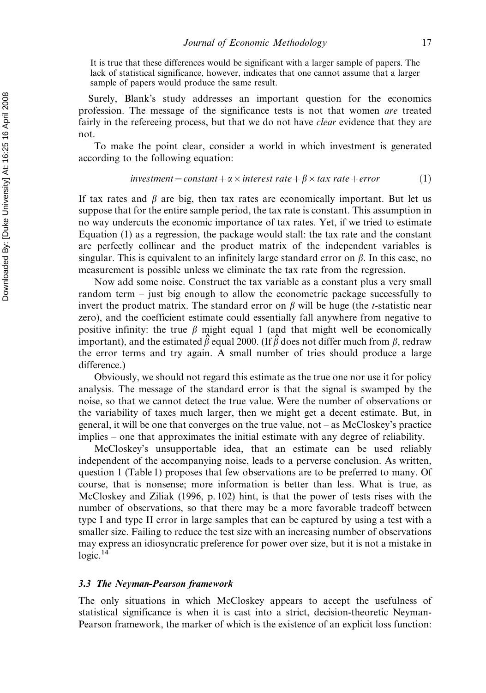It is true that these differences would be significant with a larger sample of papers. The lack of statistical significance, however, indicates that one cannot assume that a larger sample of papers would produce the same result.

Surely, Blank's study addresses an important question for the economics profession. The message of the significance tests is not that women are treated fairly in the refereeing process, but that we do not have *clear* evidence that they are not.

To make the point clear, consider a world in which investment is generated according to the following equation:

$$
investment = constant + \alpha \times interest \ rate + \beta \times tax \ rate + error \tag{1}
$$

If tax rates and  $\beta$  are big, then tax rates are economically important. But let us suppose that for the entire sample period, the tax rate is constant. This assumption in no way undercuts the economic importance of tax rates. Yet, if we tried to estimate Equation (1) as a regression, the package would stall: the tax rate and the constant are perfectly collinear and the product matrix of the independent variables is singular. This is equivalent to an infinitely large standard error on  $\beta$ . In this case, no measurement is possible unless we eliminate the tax rate from the regression.

Now add some noise. Construct the tax variable as a constant plus a very small random term – just big enough to allow the econometric package successfully to invert the product matrix. The standard error on  $\beta$  will be huge (the *t*-statistic near zero), and the coefficient estimate could essentially fall anywhere from negative to positive infinity: the true  $\beta$  might equal 1 (and that might well be economically important), and the estimated  $\hat{\beta}$  equal 2000. (If  $\hat{\beta}$  does not differ much from  $\beta$ , redraw the error terms and try again. A small number of tries should produce a large difference.)

Obviously, we should not regard this estimate as the true one nor use it for policy analysis. The message of the standard error is that the signal is swamped by the noise, so that we cannot detect the true value. Were the number of observations or the variability of taxes much larger, then we might get a decent estimate. But, in general, it will be one that converges on the true value, not – as McCloskey's practice implies – one that approximates the initial estimate with any degree of reliability.

McCloskey's unsupportable idea, that an estimate can be used reliably independent of the accompanying noise, leads to a perverse conclusion. As written, question 1 (Table 1) proposes that few observations are to be preferred to many. Of course, that is nonsense; more information is better than less. What is true, as McCloskey and Ziliak (1996, p. 102) hint, is that the power of tests rises with the number of observations, so that there may be a more favorable tradeoff between type I and type II error in large samples that can be captured by using a test with a smaller size. Failing to reduce the test size with an increasing number of observations may express an idiosyncratic preference for power over size, but it is not a mistake in  $logic.<sup>14</sup>$ 

### 3.3 The Neyman-Pearson framework

The only situations in which McCloskey appears to accept the usefulness of statistical significance is when it is cast into a strict, decision-theoretic Neyman-Pearson framework, the marker of which is the existence of an explicit loss function: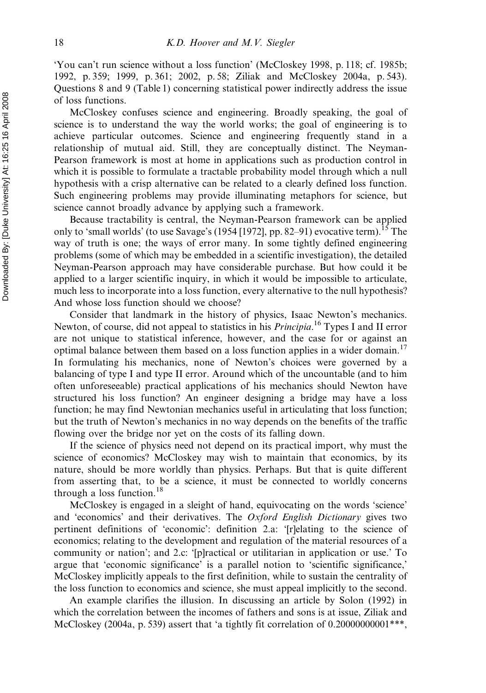'You can't run science without a loss function' (McCloskey 1998, p. 118; cf. 1985b; 1992, p. 359; 1999, p. 361; 2002, p. 58; Ziliak and McCloskey 2004a, p. 543). Questions 8 and 9 (Table 1) concerning statistical power indirectly address the issue of loss functions.

McCloskey confuses science and engineering. Broadly speaking, the goal of science is to understand the way the world works; the goal of engineering is to achieve particular outcomes. Science and engineering frequently stand in a relationship of mutual aid. Still, they are conceptually distinct. The Neyman-Pearson framework is most at home in applications such as production control in which it is possible to formulate a tractable probability model through which a null hypothesis with a crisp alternative can be related to a clearly defined loss function. Such engineering problems may provide illuminating metaphors for science, but science cannot broadly advance by applying such a framework.

Because tractability is central, the Neyman-Pearson framework can be applied only to 'small worlds' (to use Savage's (1954 [1972], pp. 82–91) evocative term).<sup>15</sup> The way of truth is one; the ways of error many. In some tightly defined engineering problems (some of which may be embedded in a scientific investigation), the detailed Neyman-Pearson approach may have considerable purchase. But how could it be applied to a larger scientific inquiry, in which it would be impossible to articulate, much less to incorporate into a loss function, every alternative to the null hypothesis? And whose loss function should we choose?

Consider that landmark in the history of physics, Isaac Newton's mechanics. Newton, of course, did not appeal to statistics in his *Principia*.<sup>16</sup> Types I and II error are not unique to statistical inference, however, and the case for or against an optimal balance between them based on a loss function applies in a wider domain.<sup>17</sup> In formulating his mechanics, none of Newton's choices were governed by a balancing of type I and type II error. Around which of the uncountable (and to him often unforeseeable) practical applications of his mechanics should Newton have structured his loss function? An engineer designing a bridge may have a loss function; he may find Newtonian mechanics useful in articulating that loss function; but the truth of Newton's mechanics in no way depends on the benefits of the traffic flowing over the bridge nor yet on the costs of its falling down.

If the science of physics need not depend on its practical import, why must the science of economics? McCloskey may wish to maintain that economics, by its nature, should be more worldly than physics. Perhaps. But that is quite different from asserting that, to be a science, it must be connected to worldly concerns through a loss function.<sup>18</sup>

McCloskey is engaged in a sleight of hand, equivocating on the words 'science' and 'economics' and their derivatives. The Oxford English Dictionary gives two pertinent definitions of 'economic': definition 2.a: '[r]elating to the science of economics; relating to the development and regulation of the material resources of a community or nation'; and 2.c: '[p]ractical or utilitarian in application or use.' To argue that 'economic significance' is a parallel notion to 'scientific significance,' McCloskey implicitly appeals to the first definition, while to sustain the centrality of the loss function to economics and science, she must appeal implicitly to the second.

An example clarifies the illusion. In discussing an article by Solon (1992) in which the correlation between the incomes of fathers and sons is at issue, Ziliak and McCloskey (2004a, p. 539) assert that 'a tightly fit correlation of 0.20000000001\*\*\*,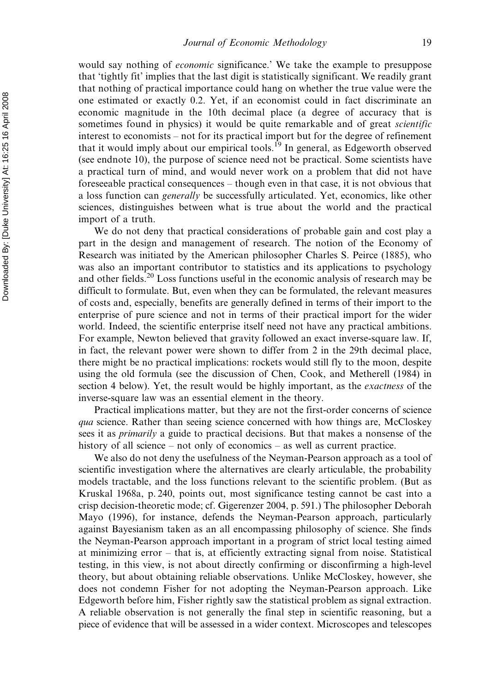would say nothing of economic significance.' We take the example to presuppose that 'tightly fit' implies that the last digit is statistically significant. We readily grant that nothing of practical importance could hang on whether the true value were the one estimated or exactly 0.2. Yet, if an economist could in fact discriminate an economic magnitude in the 10th decimal place (a degree of accuracy that is sometimes found in physics) it would be quite remarkable and of great *scientific* interest to economists – not for its practical import but for the degree of refinement that it would imply about our empirical tools.<sup>19</sup> In general, as Edgeworth observed (see endnote 10), the purpose of science need not be practical. Some scientists have a practical turn of mind, and would never work on a problem that did not have foreseeable practical consequences – though even in that case, it is not obvious that a loss function can generally be successfully articulated. Yet, economics, like other sciences, distinguishes between what is true about the world and the practical import of a truth.

We do not deny that practical considerations of probable gain and cost play a part in the design and management of research. The notion of the Economy of Research was initiated by the American philosopher Charles S. Peirce (1885), who was also an important contributor to statistics and its applications to psychology and other fields.<sup>20</sup> Loss functions useful in the economic analysis of research may be difficult to formulate. But, even when they can be formulated, the relevant measures of costs and, especially, benefits are generally defined in terms of their import to the enterprise of pure science and not in terms of their practical import for the wider world. Indeed, the scientific enterprise itself need not have any practical ambitions. For example, Newton believed that gravity followed an exact inverse-square law. If, in fact, the relevant power were shown to differ from 2 in the 29th decimal place, there might be no practical implications: rockets would still fly to the moon, despite using the old formula (see the discussion of Chen, Cook, and Metherell (1984) in section 4 below). Yet, the result would be highly important, as the *exactness* of the inverse-square law was an essential element in the theory.

Practical implications matter, but they are not the first-order concerns of science qua science. Rather than seeing science concerned with how things are, McCloskey sees it as primarily a guide to practical decisions. But that makes a nonsense of the history of all science – not only of economics – as well as current practice.

We also do not deny the usefulness of the Neyman-Pearson approach as a tool of scientific investigation where the alternatives are clearly articulable, the probability models tractable, and the loss functions relevant to the scientific problem. (But as Kruskal 1968a, p. 240, points out, most significance testing cannot be cast into a crisp decision-theoretic mode; cf. Gigerenzer 2004, p. 591.) The philosopher Deborah Mayo (1996), for instance, defends the Neyman-Pearson approach, particularly against Bayesianism taken as an all encompassing philosophy of science. She finds the Neyman-Pearson approach important in a program of strict local testing aimed at minimizing error – that is, at efficiently extracting signal from noise. Statistical testing, in this view, is not about directly confirming or disconfirming a high-level theory, but about obtaining reliable observations. Unlike McCloskey, however, she does not condemn Fisher for not adopting the Neyman-Pearson approach. Like Edgeworth before him, Fisher rightly saw the statistical problem as signal extraction. A reliable observation is not generally the final step in scientific reasoning, but a piece of evidence that will be assessed in a wider context. Microscopes and telescopes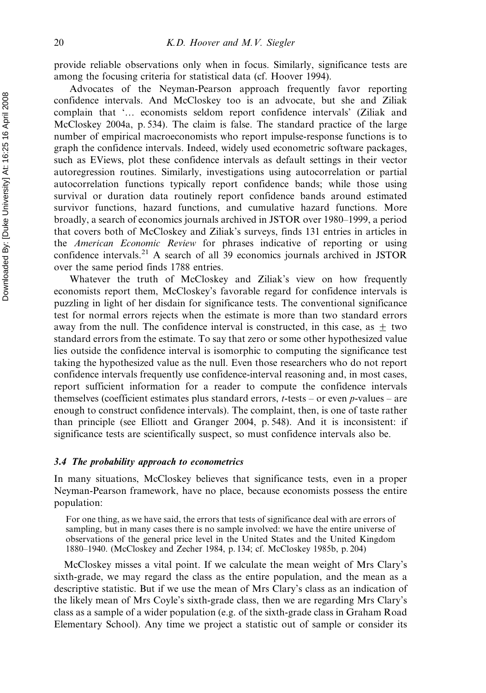provide reliable observations only when in focus. Similarly, significance tests are among the focusing criteria for statistical data (cf. Hoover 1994).

Advocates of the Neyman-Pearson approach frequently favor reporting confidence intervals. And McCloskey too is an advocate, but she and Ziliak complain that '… economists seldom report confidence intervals' (Ziliak and McCloskey 2004a, p. 534). The claim is false. The standard practice of the large number of empirical macroeconomists who report impulse-response functions is to graph the confidence intervals. Indeed, widely used econometric software packages, such as EViews, plot these confidence intervals as default settings in their vector autoregression routines. Similarly, investigations using autocorrelation or partial autocorrelation functions typically report confidence bands; while those using survival or duration data routinely report confidence bands around estimated survivor functions, hazard functions, and cumulative hazard functions. More broadly, a search of economics journals archived in JSTOR over 1980–1999, a period that covers both of McCloskey and Ziliak's surveys, finds 131 entries in articles in the American Economic Review for phrases indicative of reporting or using confidence intervals.<sup>21</sup> A search of all 39 economics journals archived in JSTOR over the same period finds 1788 entries.

Whatever the truth of McCloskey and Ziliak's view on how frequently economists report them, McCloskey's favorable regard for confidence intervals is puzzling in light of her disdain for significance tests. The conventional significance test for normal errors rejects when the estimate is more than two standard errors away from the null. The confidence interval is constructed, in this case, as  $+$  two standard errors from the estimate. To say that zero or some other hypothesized value lies outside the confidence interval is isomorphic to computing the significance test taking the hypothesized value as the null. Even those researchers who do not report confidence intervals frequently use confidence-interval reasoning and, in most cases, report sufficient information for a reader to compute the confidence intervals themselves (coefficient estimates plus standard errors, t-tests – or even p-values – are enough to construct confidence intervals). The complaint, then, is one of taste rather than principle (see Elliott and Granger 2004, p. 548). And it is inconsistent: if significance tests are scientifically suspect, so must confidence intervals also be.

### 3.4 The probability approach to econometrics

In many situations, McCloskey believes that significance tests, even in a proper Neyman-Pearson framework, have no place, because economists possess the entire population:

For one thing, as we have said, the errors that tests of significance deal with are errors of sampling, but in many cases there is no sample involved: we have the entire universe of observations of the general price level in the United States and the United Kingdom 1880–1940. (McCloskey and Zecher 1984, p. 134; cf. McCloskey 1985b, p. 204)

McCloskey misses a vital point. If we calculate the mean weight of Mrs Clary's sixth-grade, we may regard the class as the entire population, and the mean as a descriptive statistic. But if we use the mean of Mrs Clary's class as an indication of the likely mean of Mrs Coyle's sixth-grade class, then we are regarding Mrs Clary's class as a sample of a wider population (e.g. of the sixth-grade class in Graham Road Elementary School). Any time we project a statistic out of sample or consider its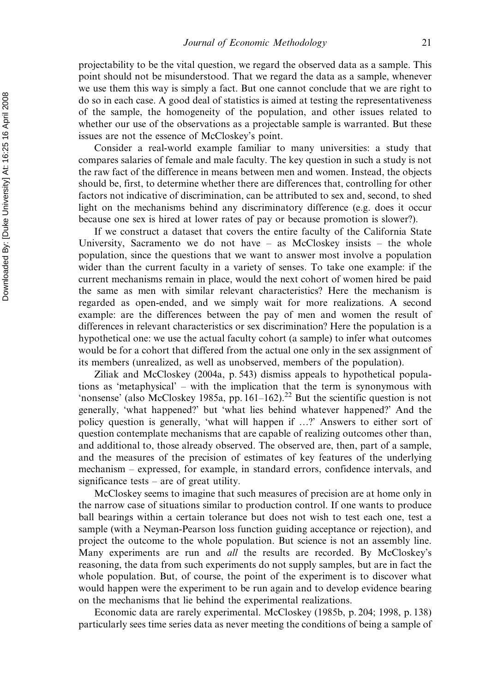projectability to be the vital question, we regard the observed data as a sample. This point should not be misunderstood. That we regard the data as a sample, whenever we use them this way is simply a fact. But one cannot conclude that we are right to do so in each case. A good deal of statistics is aimed at testing the representativeness of the sample, the homogeneity of the population, and other issues related to whether our use of the observations as a projectable sample is warranted. But these issues are not the essence of McCloskey's point.

Consider a real-world example familiar to many universities: a study that compares salaries of female and male faculty. The key question in such a study is not the raw fact of the difference in means between men and women. Instead, the objects should be, first, to determine whether there are differences that, controlling for other factors not indicative of discrimination, can be attributed to sex and, second, to shed light on the mechanisms behind any discriminatory difference (e.g. does it occur because one sex is hired at lower rates of pay or because promotion is slower?).

If we construct a dataset that covers the entire faculty of the California State University, Sacramento we do not have  $-$  as McCloskey insists  $-$  the whole population, since the questions that we want to answer most involve a population wider than the current faculty in a variety of senses. To take one example: if the current mechanisms remain in place, would the next cohort of women hired be paid the same as men with similar relevant characteristics? Here the mechanism is regarded as open-ended, and we simply wait for more realizations. A second example: are the differences between the pay of men and women the result of differences in relevant characteristics or sex discrimination? Here the population is a hypothetical one: we use the actual faculty cohort (a sample) to infer what outcomes would be for a cohort that differed from the actual one only in the sex assignment of its members (unrealized, as well as unobserved, members of the population).

Ziliak and McCloskey (2004a, p. 543) dismiss appeals to hypothetical populations as 'metaphysical' – with the implication that the term is synonymous with 'nonsense' (also McCloskey 1985a, pp. 161–162).<sup>22</sup> But the scientific question is not generally, 'what happened?' but 'what lies behind whatever happened?' And the policy question is generally, 'what will happen if …?' Answers to either sort of question contemplate mechanisms that are capable of realizing outcomes other than, and additional to, those already observed. The observed are, then, part of a sample, and the measures of the precision of estimates of key features of the underlying mechanism – expressed, for example, in standard errors, confidence intervals, and significance tests – are of great utility.

McCloskey seems to imagine that such measures of precision are at home only in the narrow case of situations similar to production control. If one wants to produce ball bearings within a certain tolerance but does not wish to test each one, test a sample (with a Neyman-Pearson loss function guiding acceptance or rejection), and project the outcome to the whole population. But science is not an assembly line. Many experiments are run and *all* the results are recorded. By McCloskey's reasoning, the data from such experiments do not supply samples, but are in fact the whole population. But, of course, the point of the experiment is to discover what would happen were the experiment to be run again and to develop evidence bearing on the mechanisms that lie behind the experimental realizations.

Economic data are rarely experimental. McCloskey (1985b, p. 204; 1998, p. 138) particularly sees time series data as never meeting the conditions of being a sample of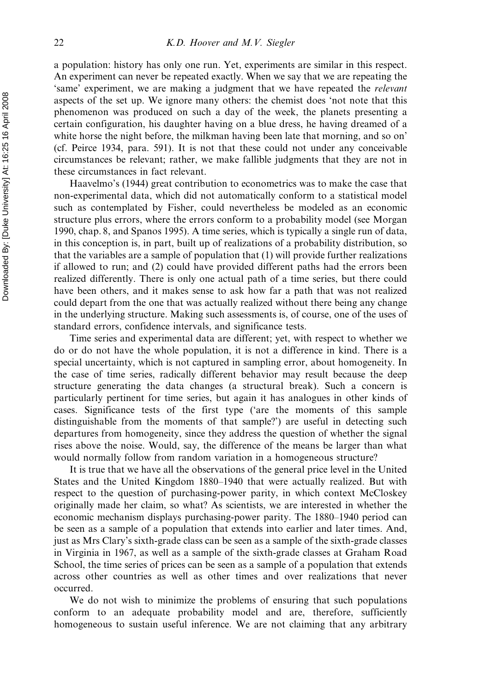a population: history has only one run. Yet, experiments are similar in this respect. An experiment can never be repeated exactly. When we say that we are repeating the 'same' experiment, we are making a judgment that we have repeated the relevant aspects of the set up. We ignore many others: the chemist does 'not note that this phenomenon was produced on such a day of the week, the planets presenting a certain configuration, his daughter having on a blue dress, he having dreamed of a white horse the night before, the milkman having been late that morning, and so on' (cf. Peirce 1934, para. 591). It is not that these could not under any conceivable circumstances be relevant; rather, we make fallible judgments that they are not in these circumstances in fact relevant.

Haavelmo's (1944) great contribution to econometrics was to make the case that non-experimental data, which did not automatically conform to a statistical model such as contemplated by Fisher, could nevertheless be modeled as an economic structure plus errors, where the errors conform to a probability model (see Morgan 1990, chap. 8, and Spanos 1995). A time series, which is typically a single run of data, in this conception is, in part, built up of realizations of a probability distribution, so that the variables are a sample of population that (1) will provide further realizations if allowed to run; and (2) could have provided different paths had the errors been realized differently. There is only one actual path of a time series, but there could have been others, and it makes sense to ask how far a path that was not realized could depart from the one that was actually realized without there being any change in the underlying structure. Making such assessments is, of course, one of the uses of standard errors, confidence intervals, and significance tests.

Time series and experimental data are different; yet, with respect to whether we do or do not have the whole population, it is not a difference in kind. There is a special uncertainty, which is not captured in sampling error, about homogeneity. In the case of time series, radically different behavior may result because the deep structure generating the data changes (a structural break). Such a concern is particularly pertinent for time series, but again it has analogues in other kinds of cases. Significance tests of the first type ('are the moments of this sample distinguishable from the moments of that sample?') are useful in detecting such departures from homogeneity, since they address the question of whether the signal rises above the noise. Would, say, the difference of the means be larger than what would normally follow from random variation in a homogeneous structure?

It is true that we have all the observations of the general price level in the United States and the United Kingdom 1880–1940 that were actually realized. But with respect to the question of purchasing-power parity, in which context McCloskey originally made her claim, so what? As scientists, we are interested in whether the economic mechanism displays purchasing-power parity. The 1880–1940 period can be seen as a sample of a population that extends into earlier and later times. And, just as Mrs Clary's sixth-grade class can be seen as a sample of the sixth-grade classes in Virginia in 1967, as well as a sample of the sixth-grade classes at Graham Road School, the time series of prices can be seen as a sample of a population that extends across other countries as well as other times and over realizations that never occurred.

We do not wish to minimize the problems of ensuring that such populations conform to an adequate probability model and are, therefore, sufficiently homogeneous to sustain useful inference. We are not claiming that any arbitrary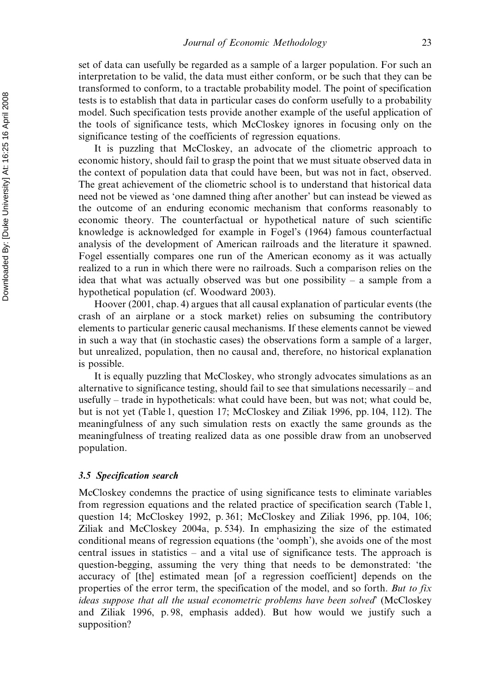set of data can usefully be regarded as a sample of a larger population. For such an interpretation to be valid, the data must either conform, or be such that they can be transformed to conform, to a tractable probability model. The point of specification tests is to establish that data in particular cases do conform usefully to a probability model. Such specification tests provide another example of the useful application of the tools of significance tests, which McCloskey ignores in focusing only on the significance testing of the coefficients of regression equations.

It is puzzling that McCloskey, an advocate of the cliometric approach to economic history, should fail to grasp the point that we must situate observed data in the context of population data that could have been, but was not in fact, observed. The great achievement of the cliometric school is to understand that historical data need not be viewed as 'one damned thing after another' but can instead be viewed as the outcome of an enduring economic mechanism that conforms reasonably to economic theory. The counterfactual or hypothetical nature of such scientific knowledge is acknowledged for example in Fogel's (1964) famous counterfactual analysis of the development of American railroads and the literature it spawned. Fogel essentially compares one run of the American economy as it was actually realized to a run in which there were no railroads. Such a comparison relies on the idea that what was actually observed was but one possibility  $-$  a sample from a hypothetical population (cf. Woodward 2003).

Hoover (2001, chap. 4) argues that all causal explanation of particular events (the crash of an airplane or a stock market) relies on subsuming the contributory elements to particular generic causal mechanisms. If these elements cannot be viewed in such a way that (in stochastic cases) the observations form a sample of a larger, but unrealized, population, then no causal and, therefore, no historical explanation is possible.

It is equally puzzling that McCloskey, who strongly advocates simulations as an alternative to significance testing, should fail to see that simulations necessarily – and usefully – trade in hypotheticals: what could have been, but was not; what could be, but is not yet (Table 1, question 17; McCloskey and Ziliak 1996, pp. 104, 112). The meaningfulness of any such simulation rests on exactly the same grounds as the meaningfulness of treating realized data as one possible draw from an unobserved population.

### 3.5 Specification search

McCloskey condemns the practice of using significance tests to eliminate variables from regression equations and the related practice of specification search (Table 1, question 14; McCloskey 1992, p. 361; McCloskey and Ziliak 1996, pp. 104, 106; Ziliak and McCloskey 2004a, p. 534). In emphasizing the size of the estimated conditional means of regression equations (the 'oomph'), she avoids one of the most central issues in statistics – and a vital use of significance tests. The approach is question-begging, assuming the very thing that needs to be demonstrated: 'the accuracy of [the] estimated mean [of a regression coefficient] depends on the properties of the error term, the specification of the model, and so forth. But to fix ideas suppose that all the usual econometric problems have been solved' (McCloskey and Ziliak 1996, p. 98, emphasis added). But how would we justify such a supposition?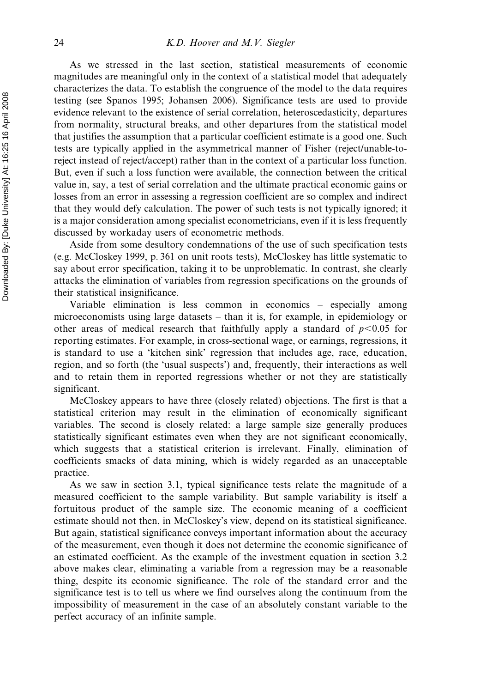As we stressed in the last section, statistical measurements of economic magnitudes are meaningful only in the context of a statistical model that adequately characterizes the data. To establish the congruence of the model to the data requires testing (see Spanos 1995; Johansen 2006). Significance tests are used to provide evidence relevant to the existence of serial correlation, heteroscedasticity, departures from normality, structural breaks, and other departures from the statistical model that justifies the assumption that a particular coefficient estimate is a good one. Such tests are typically applied in the asymmetrical manner of Fisher (reject/unable-toreject instead of reject/accept) rather than in the context of a particular loss function. But, even if such a loss function were available, the connection between the critical value in, say, a test of serial correlation and the ultimate practical economic gains or losses from an error in assessing a regression coefficient are so complex and indirect that they would defy calculation. The power of such tests is not typically ignored; it is a major consideration among specialist econometricians, even if it is less frequently discussed by workaday users of econometric methods.

Aside from some desultory condemnations of the use of such specification tests (e.g. McCloskey 1999, p. 361 on unit roots tests), McCloskey has little systematic to say about error specification, taking it to be unproblematic. In contrast, she clearly attacks the elimination of variables from regression specifications on the grounds of their statistical insignificance.

Variable elimination is less common in economics – especially among microeconomists using large datasets – than it is, for example, in epidemiology or other areas of medical research that faithfully apply a standard of  $p<0.05$  for reporting estimates. For example, in cross-sectional wage, or earnings, regressions, it is standard to use a 'kitchen sink' regression that includes age, race, education, region, and so forth (the 'usual suspects') and, frequently, their interactions as well and to retain them in reported regressions whether or not they are statistically significant.

McCloskey appears to have three (closely related) objections. The first is that a statistical criterion may result in the elimination of economically significant variables. The second is closely related: a large sample size generally produces statistically significant estimates even when they are not significant economically, which suggests that a statistical criterion is irrelevant. Finally, elimination of coefficients smacks of data mining, which is widely regarded as an unacceptable practice.

As we saw in section 3.1, typical significance tests relate the magnitude of a measured coefficient to the sample variability. But sample variability is itself a fortuitous product of the sample size. The economic meaning of a coefficient estimate should not then, in McCloskey's view, depend on its statistical significance. But again, statistical significance conveys important information about the accuracy of the measurement, even though it does not determine the economic significance of an estimated coefficient. As the example of the investment equation in section 3.2 above makes clear, eliminating a variable from a regression may be a reasonable thing, despite its economic significance. The role of the standard error and the significance test is to tell us where we find ourselves along the continuum from the impossibility of measurement in the case of an absolutely constant variable to the perfect accuracy of an infinite sample.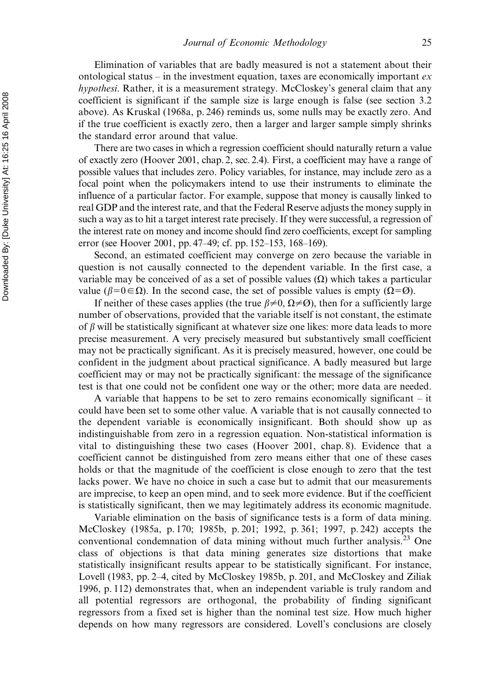Elimination of variables that are badly measured is not a statement about their ontological status – in the investment equation, taxes are economically important  $ex$ hypothesi. Rather, it is a measurement strategy. McCloskey's general claim that any coefficient is significant if the sample size is large enough is false (see section 3.2 above). As Kruskal (1968a, p. 246) reminds us, some nulls may be exactly zero. And if the true coefficient is exactly zero, then a larger and larger sample simply shrinks the standard error around that value.

There are two cases in which a regression coefficient should naturally return a value of exactly zero (Hoover 2001, chap. 2, sec. 2.4). First, a coefficient may have a range of possible values that includes zero. Policy variables, for instance, may include zero as a focal point when the policymakers intend to use their instruments to eliminate the influence of a particular factor. For example, suppose that money is causally linked to real GDP and the interest rate, and that the Federal Reserve adjusts the money supply in such a way as to hit a target interest rate precisely. If they were successful, a regression of the interest rate on money and income should find zero coefficients, except for sampling error (see Hoover 2001, pp. 47–49; cf. pp. 152–153, 168–169).

Second, an estimated coefficient may converge on zero because the variable in question is not causally connected to the dependent variable. In the first case, a variable may be conceived of as a set of possible values  $(\Omega)$  which takes a particular value ( $\beta=0\in\Omega$ ). In the second case, the set of possible values is empty ( $\Omega=\emptyset$ ).

If neither of these cases applies (the true  $\beta \neq 0$ ,  $\Omega \neq \emptyset$ ), then for a sufficiently large number of observations, provided that the variable itself is not constant, the estimate of  $\beta$  will be statistically significant at whatever size one likes: more data leads to more precise measurement. A very precisely measured but substantively small coefficient may not be practically significant. As it is precisely measured, however, one could be confident in the judgment about practical significance. A badly measured but large coefficient may or may not be practically significant: the message of the significance test is that one could not be confident one way or the other; more data are needed.

A variable that happens to be set to zero remains economically significant – it could have been set to some other value. A variable that is not causally connected to the dependent variable is economically insignificant. Both should show up as indistinguishable from zero in a regression equation. Non-statistical information is vital to distinguishing these two cases (Hoover 2001, chap. 8). Evidence that a coefficient cannot be distinguished from zero means either that one of these cases holds or that the magnitude of the coefficient is close enough to zero that the test lacks power. We have no choice in such a case but to admit that our measurements are imprecise, to keep an open mind, and to seek more evidence. But if the coefficient is statistically significant, then we may legitimately address its economic magnitude.

Variable elimination on the basis of significance tests is a form of data mining. McCloskey (1985a, p. 170; 1985b, p. 201; 1992, p. 361; 1997, p. 242) accepts the conventional condemnation of data mining without much further analysis.<sup>23</sup> One class of objections is that data mining generates size distortions that make statistically insignificant results appear to be statistically significant. For instance, Lovell (1983, pp. 2–4, cited by McCloskey 1985b, p. 201, and McCloskey and Ziliak 1996, p. 112) demonstrates that, when an independent variable is truly random and all potential regressors are orthogonal, the probability of finding significant regressors from a fixed set is higher than the nominal test size. How much higher depends on how many regressors are considered. Lovell's conclusions are closely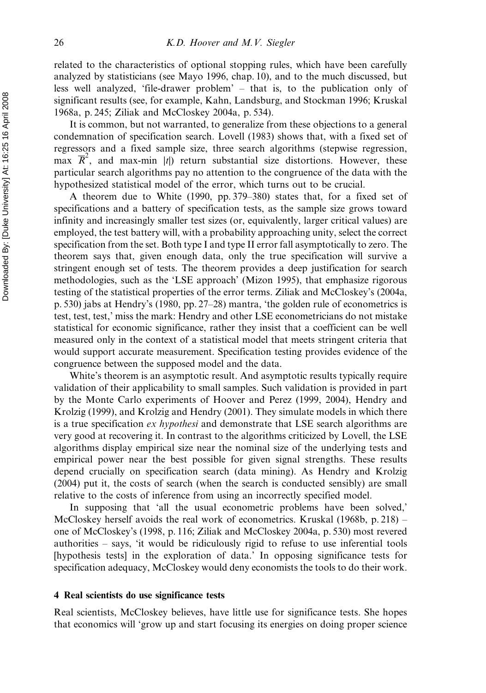related to the characteristics of optional stopping rules, which have been carefully analyzed by statisticians (see Mayo 1996, chap. 10), and to the much discussed, but less well analyzed, 'file-drawer problem' – that is, to the publication only of significant results (see, for example, Kahn, Landsburg, and Stockman 1996; Kruskal 1968a, p. 245; Ziliak and McCloskey 2004a, p. 534).

It is common, but not warranted, to generalize from these objections to a general condemnation of specification search. Lovell (1983) shows that, with a fixed set of regressors and a fixed sample size, three search algorithms (stepwise regression, max  $\overline{R}^2$ , and max-min |t|) return substantial size distortions. However, these particular search algorithms pay no attention to the congruence of the data with the hypothesized statistical model of the error, which turns out to be crucial.

A theorem due to White (1990, pp. 379–380) states that, for a fixed set of specifications and a battery of specification tests, as the sample size grows toward infinity and increasingly smaller test sizes (or, equivalently, larger critical values) are employed, the test battery will, with a probability approaching unity, select the correct specification from the set. Both type I and type II error fall asymptotically to zero. The theorem says that, given enough data, only the true specification will survive a stringent enough set of tests. The theorem provides a deep justification for search methodologies, such as the 'LSE approach' (Mizon 1995), that emphasize rigorous testing of the statistical properties of the error terms. Ziliak and McCloskey's (2004a, p. 530) jabs at Hendry's (1980, pp. 27–28) mantra, 'the golden rule of econometrics is test, test, test,' miss the mark: Hendry and other LSE econometricians do not mistake statistical for economic significance, rather they insist that a coefficient can be well measured only in the context of a statistical model that meets stringent criteria that would support accurate measurement. Specification testing provides evidence of the congruence between the supposed model and the data.

White's theorem is an asymptotic result. And asymptotic results typically require validation of their applicability to small samples. Such validation is provided in part by the Monte Carlo experiments of Hoover and Perez (1999, 2004), Hendry and Krolzig (1999), and Krolzig and Hendry (2001). They simulate models in which there is a true specification *ex hypothesi* and demonstrate that LSE search algorithms are very good at recovering it. In contrast to the algorithms criticized by Lovell, the LSE algorithms display empirical size near the nominal size of the underlying tests and empirical power near the best possible for given signal strengths. These results depend crucially on specification search (data mining). As Hendry and Krolzig (2004) put it, the costs of search (when the search is conducted sensibly) are small relative to the costs of inference from using an incorrectly specified model.

In supposing that 'all the usual econometric problems have been solved,' McCloskey herself avoids the real work of econometrics. Kruskal (1968b, p. 218) – one of McCloskey's (1998, p. 116; Ziliak and McCloskey 2004a, p. 530) most revered authorities – says, 'it would be ridiculously rigid to refuse to use inferential tools [hypothesis tests] in the exploration of data.' In opposing significance tests for specification adequacy, McCloskey would deny economists the tools to do their work.

#### 4 Real scientists do use significance tests

Real scientists, McCloskey believes, have little use for significance tests. She hopes that economics will 'grow up and start focusing its energies on doing proper science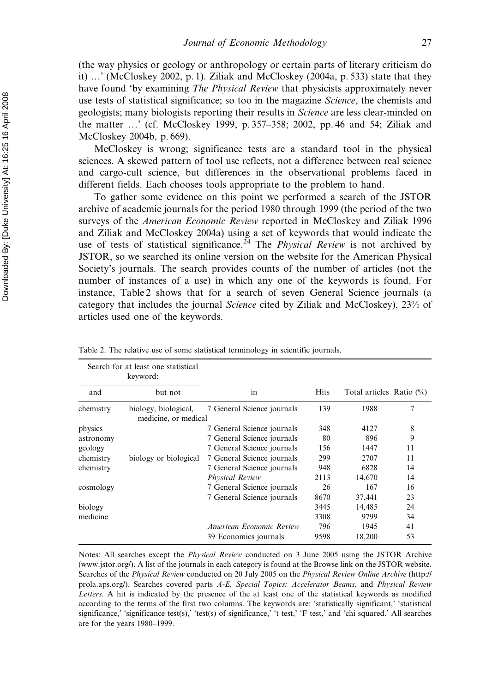(the way physics or geology or anthropology or certain parts of literary criticism do it) …' (McCloskey 2002, p. 1). Ziliak and McCloskey (2004a, p. 533) state that they have found 'by examining *The Physical Review* that physicists approximately never use tests of statistical significance; so too in the magazine *Science*, the chemists and geologists; many biologists reporting their results in Science are less clear-minded on the matter …' (cf. McCloskey 1999, p. 357–358; 2002, pp. 46 and 54; Ziliak and McCloskey 2004b, p. 669).

McCloskey is wrong; significance tests are a standard tool in the physical sciences. A skewed pattern of tool use reflects, not a difference between real science and cargo-cult science, but differences in the observational problems faced in different fields. Each chooses tools appropriate to the problem to hand.

To gather some evidence on this point we performed a search of the JSTOR archive of academic journals for the period 1980 through 1999 (the period of the two surveys of the American Economic Review reported in McCloskey and Ziliak 1996 and Ziliak and McCloskey 2004a) using a set of keywords that would indicate the use of tests of statistical significance.<sup>24</sup> The *Physical Review* is not archived by JSTOR, so we searched its online version on the website for the American Physical Society's journals. The search provides counts of the number of articles (not the number of instances of a use) in which any one of the keywords is found. For instance, Table 2 shows that for a search of seven General Science journals (a category that includes the journal Science cited by Ziliak and McCloskey), 23% of articles used one of the keywords.

| Search for at least one statistical<br>keyword: |                                              |                            |      |                             |    |
|-------------------------------------------------|----------------------------------------------|----------------------------|------|-----------------------------|----|
| and                                             | but not                                      | in                         | Hits | Total articles Ratio $(\%)$ |    |
| chemistry                                       | biology, biological,<br>medicine, or medical | 7 General Science journals | 139  | 1988                        | 7  |
| physics                                         |                                              | 7 General Science journals | 348  | 4127                        | 8  |
| astronomy                                       |                                              | 7 General Science journals | 80   | 896                         | 9  |
| geology                                         |                                              | 7 General Science journals | 156  | 1447                        | 11 |
| chemistry                                       | biology or biological                        | 7 General Science journals | 299  | 2707                        | 11 |
| chemistry                                       |                                              | 7 General Science journals | 948  | 6828                        | 14 |
|                                                 |                                              | <b>Physical Review</b>     | 2113 | 14,670                      | 14 |
| cosmology                                       |                                              | 7 General Science journals | 26   | 167                         | 16 |
|                                                 |                                              | 7 General Science journals | 8670 | 37,441                      | 23 |
| biology                                         |                                              |                            | 3445 | 14,485                      | 24 |
| medicine                                        |                                              |                            | 3308 | 9799                        | 34 |
|                                                 |                                              | American Economic Review   | 796  | 1945                        | 41 |
|                                                 |                                              | 39 Economics journals      | 9598 | 18,200                      | 53 |

Table 2. The relative use of some statistical terminology in scientific journals.

Notes: All searches except the Physical Review conducted on 3 June 2005 using the JSTOR Archive (www.jstor.org/). A list of the journals in each category is found at the Browse link on the JSTOR website. Searches of the Physical Review conducted on 20 July 2005 on the Physical Review Online Archive (http:// prola.aps.org/). Searches covered parts A-E, Special Topics: Accelerator Beams, and Physical Review Letters. A hit is indicated by the presence of the at least one of the statistical keywords as modified according to the terms of the first two columns. The keywords are: 'statistically significant,' 'statistical significance,' 'significance test(s),' 'test(s) of significance,' 't test,' 'F test,' and 'chi squared.' All searches are for the years 1980–1999.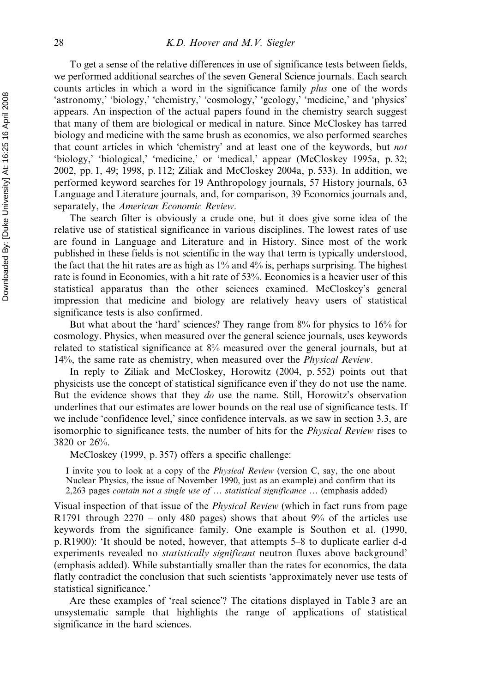To get a sense of the relative differences in use of significance tests between fields, we performed additional searches of the seven General Science journals. Each search counts articles in which a word in the significance family plus one of the words 'astronomy,' 'biology,' 'chemistry,' 'cosmology,' 'geology,' 'medicine,' and 'physics' appears. An inspection of the actual papers found in the chemistry search suggest that many of them are biological or medical in nature. Since McCloskey has tarred biology and medicine with the same brush as economics, we also performed searches that count articles in which 'chemistry' and at least one of the keywords, but not 'biology,' 'biological,' 'medicine,' or 'medical,' appear (McCloskey 1995a, p. 32; 2002, pp. 1, 49; 1998, p. 112; Ziliak and McCloskey 2004a, p. 533). In addition, we performed keyword searches for 19 Anthropology journals, 57 History journals, 63 Language and Literature journals, and, for comparison, 39 Economics journals and, separately, the American Economic Review.

The search filter is obviously a crude one, but it does give some idea of the relative use of statistical significance in various disciplines. The lowest rates of use are found in Language and Literature and in History. Since most of the work published in these fields is not scientific in the way that term is typically understood, the fact that the hit rates are as high as 1% and 4% is, perhaps surprising. The highest rate is found in Economics, with a hit rate of 53%. Economics is a heavier user of this statistical apparatus than the other sciences examined. McCloskey's general impression that medicine and biology are relatively heavy users of statistical significance tests is also confirmed.

But what about the 'hard' sciences? They range from 8% for physics to 16% for cosmology. Physics, when measured over the general science journals, uses keywords related to statistical significance at 8% measured over the general journals, but at 14%, the same rate as chemistry, when measured over the Physical Review.

In reply to Ziliak and McCloskey, Horowitz (2004, p. 552) points out that physicists use the concept of statistical significance even if they do not use the name. But the evidence shows that they do use the name. Still, Horowitz's observation underlines that our estimates are lower bounds on the real use of significance tests. If we include 'confidence level,' since confidence intervals, as we saw in section 3.3, are isomorphic to significance tests, the number of hits for the Physical Review rises to 3820 or 26%.

McCloskey (1999, p. 357) offers a specific challenge:

I invite you to look at a copy of the Physical Review (version C, say, the one about Nuclear Physics, the issue of November 1990, just as an example) and confirm that its 2,263 pages contain not a single use of … statistical significance … (emphasis added)

Visual inspection of that issue of the Physical Review (which in fact runs from page R1791 through 2270 – only 480 pages) shows that about  $9\%$  of the articles use keywords from the significance family. One example is Southon et al. (1990, p. R1900): 'It should be noted, however, that attempts 5–8 to duplicate earlier d-d experiments revealed no *statistically significant* neutron fluxes above background' (emphasis added). While substantially smaller than the rates for economics, the data flatly contradict the conclusion that such scientists 'approximately never use tests of statistical significance.'

Are these examples of 'real science'? The citations displayed in Table 3 are an unsystematic sample that highlights the range of applications of statistical significance in the hard sciences.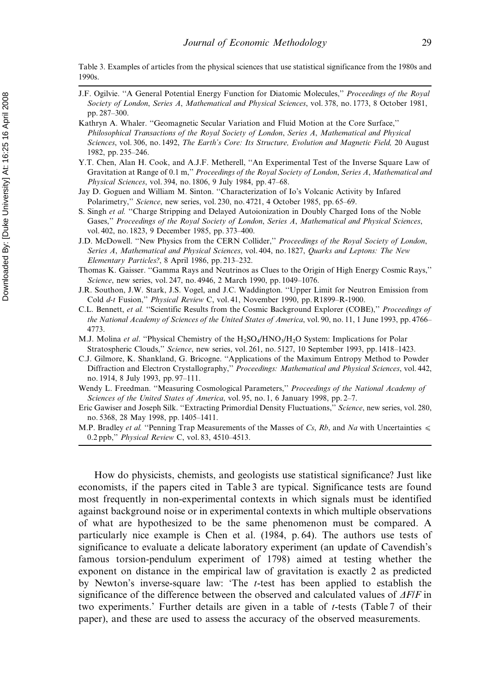- J.F. Ogilvie. "A General Potential Energy Function for Diatomic Molecules," Proceedings of the Royal Society of London, Series A, Mathematical and Physical Sciences, vol. 378, no. 1773, 8 October 1981, pp. 287–300.
- Kathryn A. Whaler. ''Geomagnetic Secular Variation and Fluid Motion at the Core Surface,'' Philosophical Transactions of the Royal Society of London, Series A, Mathematical and Physical Sciences, vol. 306, no. 1492, The Earth's Core: Its Structure, Evolution and Magnetic Field, 20 August 1982, pp. 235–246.
- Y.T. Chen, Alan H. Cook, and A.J.F. Metherell, ''An Experimental Test of the Inverse Square Law of Gravitation at Range of 0.1 m,'' Proceedings of the Royal Society of London, Series A, Mathematical and Physical Sciences, vol. 394, no. 1806, 9 July 1984, pp. 47–68.
- Jay D. Goguen and William M. Sinton. ''Characterization of Io's Volcanic Activity by Infared Polarimetry,'' Science, new series, vol. 230, no. 4721, 4 October 1985, pp. 65–69.
- S. Singh et al. ''Charge Stripping and Delayed Autoionization in Doubly Charged Ions of the Noble Gases," Proceedings of the Royal Society of London, Series A, Mathematical and Physical Sciences, vol. 402, no. 1823, 9 December 1985, pp. 373–400.
- J.D. McDowell. "New Physics from the CERN Collider," Proceedings of the Royal Society of London, Series A, Mathematical and Physical Sciences, vol. 404, no. 1827, Quarks and Leptons: The New Elementary Particles?, 8 April 1986, pp. 213–232.
- Thomas K. Gaisser. ''Gamma Rays and Neutrinos as Clues to the Origin of High Energy Cosmic Rays,'' Science, new series, vol. 247, no. 4946, 2 March 1990, pp. 1049–1076.
- J.R. Southon, J.W. Stark, J.S. Vogel, and J.C. Waddington. ''Upper Limit for Neutron Emission from Cold d-t Fusion,'' Physical Review C, vol. 41, November 1990, pp. R1899–R-1900.
- C.L. Bennett, et al. ''Scientific Results from the Cosmic Background Explorer (COBE),'' Proceedings of the National Academy of Sciences of the United States of America, vol. 90, no. 11, 1 June 1993, pp. 4766– 4773.
- M.J. Molina et al. "Physical Chemistry of the  $H_2SO_4/HNO_3/H_2O$  System: Implications for Polar Stratospheric Clouds,'' Science, new series, vol. 261, no. 5127, 10 September 1993, pp. 1418–1423.
- C.J. Gilmore, K. Shankland, G. Bricogne. ''Applications of the Maximum Entropy Method to Powder Diffraction and Electron Crystallography,'' Proceedings: Mathematical and Physical Sciences, vol. 442, no. 1914, 8 July 1993, pp. 97–111.
- Wendy L. Freedman. "Measuring Cosmological Parameters," Proceedings of the National Academy of Sciences of the United States of America, vol. 95, no. 1, 6 January 1998, pp. 2-7.
- Eric Gawiser and Joseph Silk. ''Extracting Primordial Density Fluctuations,'' Science, new series, vol. 280, no. 5368, 28 May 1998, pp. 1405–1411.
- M.P. Bradley *et al.* "Penning Trap Measurements of the Masses of Cs, Rb, and Na with Uncertainties  $\leq$ 0.2 ppb,'' Physical Review C, vol. 83, 4510–4513.

How do physicists, chemists, and geologists use statistical significance? Just like economists, if the papers cited in Table 3 are typical. Significance tests are found most frequently in non-experimental contexts in which signals must be identified against background noise or in experimental contexts in which multiple observations of what are hypothesized to be the same phenomenon must be compared. A particularly nice example is Chen et al. (1984, p. 64). The authors use tests of significance to evaluate a delicate laboratory experiment (an update of Cavendish's famous torsion-pendulum experiment of 1798) aimed at testing whether the exponent on distance in the empirical law of gravitation is exactly 2 as predicted by Newton's inverse-square law: 'The t-test has been applied to establish the significance of the difference between the observed and calculated values of  $\Delta F/F$  in two experiments.' Further details are given in a table of t-tests (Table 7 of their paper), and these are used to assess the accuracy of the observed measurements.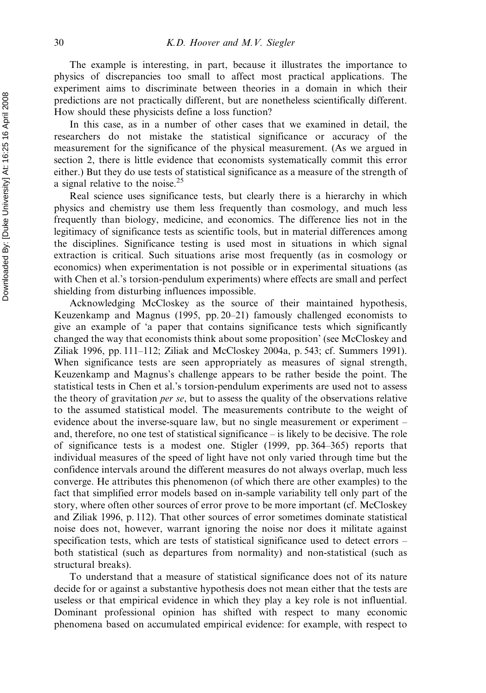The example is interesting, in part, because it illustrates the importance to physics of discrepancies too small to affect most practical applications. The experiment aims to discriminate between theories in a domain in which their predictions are not practically different, but are nonetheless scientifically different. How should these physicists define a loss function?

In this case, as in a number of other cases that we examined in detail, the researchers do not mistake the statistical significance or accuracy of the measurement for the significance of the physical measurement. (As we argued in section 2, there is little evidence that economists systematically commit this error either.) But they do use tests of statistical significance as a measure of the strength of a signal relative to the noise.<sup>25</sup>

Real science uses significance tests, but clearly there is a hierarchy in which physics and chemistry use them less frequently than cosmology, and much less frequently than biology, medicine, and economics. The difference lies not in the legitimacy of significance tests as scientific tools, but in material differences among the disciplines. Significance testing is used most in situations in which signal extraction is critical. Such situations arise most frequently (as in cosmology or economics) when experimentation is not possible or in experimental situations (as with Chen et al.'s torsion-pendulum experiments) where effects are small and perfect shielding from disturbing influences impossible.

Acknowledging McCloskey as the source of their maintained hypothesis, Keuzenkamp and Magnus (1995, pp. 20–21) famously challenged economists to give an example of 'a paper that contains significance tests which significantly changed the way that economists think about some proposition' (see McCloskey and Ziliak 1996, pp. 111–112; Ziliak and McCloskey 2004a, p. 543; cf. Summers 1991). When significance tests are seen appropriately as measures of signal strength, Keuzenkamp and Magnus's challenge appears to be rather beside the point. The statistical tests in Chen et al.'s torsion-pendulum experiments are used not to assess the theory of gravitation *per se*, but to assess the quality of the observations relative to the assumed statistical model. The measurements contribute to the weight of evidence about the inverse-square law, but no single measurement or experiment – and, therefore, no one test of statistical significance – is likely to be decisive. The role of significance tests is a modest one. Stigler (1999, pp. 364–365) reports that individual measures of the speed of light have not only varied through time but the confidence intervals around the different measures do not always overlap, much less converge. He attributes this phenomenon (of which there are other examples) to the fact that simplified error models based on in-sample variability tell only part of the story, where often other sources of error prove to be more important (cf. McCloskey and Ziliak 1996, p. 112). That other sources of error sometimes dominate statistical noise does not, however, warrant ignoring the noise nor does it militate against specification tests, which are tests of statistical significance used to detect errors – both statistical (such as departures from normality) and non-statistical (such as structural breaks).

To understand that a measure of statistical significance does not of its nature decide for or against a substantive hypothesis does not mean either that the tests are useless or that empirical evidence in which they play a key role is not influential. Dominant professional opinion has shifted with respect to many economic phenomena based on accumulated empirical evidence: for example, with respect to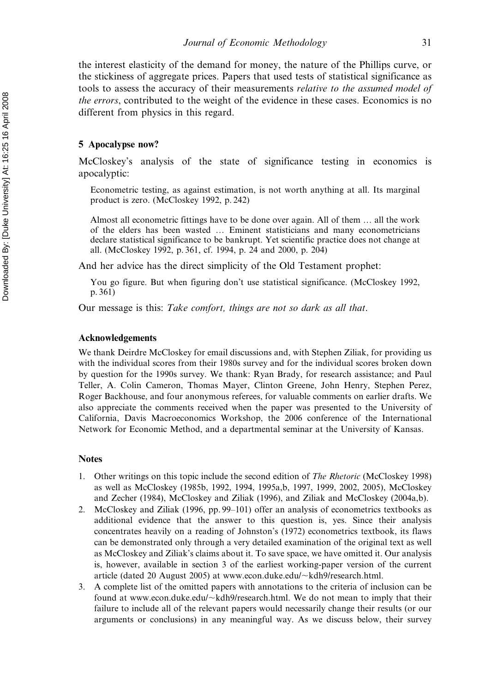the interest elasticity of the demand for money, the nature of the Phillips curve, or the stickiness of aggregate prices. Papers that used tests of statistical significance as tools to assess the accuracy of their measurements relative to the assumed model of the errors, contributed to the weight of the evidence in these cases. Economics is no different from physics in this regard.

## 5 Apocalypse now?

McCloskey's analysis of the state of significance testing in economics is apocalyptic:

Econometric testing, as against estimation, is not worth anything at all. Its marginal product is zero. (McCloskey 1992, p. 242)

Almost all econometric fittings have to be done over again. All of them … all the work of the elders has been wasted … Eminent statisticians and many econometricians declare statistical significance to be bankrupt. Yet scientific practice does not change at all. (McCloskey 1992, p. 361, cf. 1994, p. 24 and 2000, p. 204)

And her advice has the direct simplicity of the Old Testament prophet:

You go figure. But when figuring don't use statistical significance. (McCloskey 1992, p. 361)

Our message is this: Take comfort, things are not so dark as all that.

### Acknowledgements

We thank Deirdre McCloskey for email discussions and, with Stephen Ziliak, for providing us with the individual scores from their 1980s survey and for the individual scores broken down by question for the 1990s survey. We thank: Ryan Brady, for research assistance; and Paul Teller, A. Colin Cameron, Thomas Mayer, Clinton Greene, John Henry, Stephen Perez, Roger Backhouse, and four anonymous referees, for valuable comments on earlier drafts. We also appreciate the comments received when the paper was presented to the University of California, Davis Macroeconomics Workshop, the 2006 conference of the International Network for Economic Method, and a departmental seminar at the University of Kansas.

### Notes

- 1. Other writings on this topic include the second edition of The Rhetoric (McCloskey 1998) as well as McCloskey (1985b, 1992, 1994, 1995a,b, 1997, 1999, 2002, 2005), McCloskey and Zecher (1984), McCloskey and Ziliak (1996), and Ziliak and McCloskey (2004a,b).
- 2. McCloskey and Ziliak (1996, pp. 99–101) offer an analysis of econometrics textbooks as additional evidence that the answer to this question is, yes. Since their analysis concentrates heavily on a reading of Johnston's (1972) econometrics textbook, its flaws can be demonstrated only through a very detailed examination of the original text as well as McCloskey and Ziliak's claims about it. To save space, we have omitted it. Our analysis is, however, available in section 3 of the earliest working-paper version of the current article (dated 20 August 2005) at www.econ.duke.edu/ $\nu$ kdh9/research.html.
- 3. A complete list of the omitted papers with annotations to the criteria of inclusion can be found at www.econ.duke.edu/ $\sim$ kdh9/research.html. We do not mean to imply that their failure to include all of the relevant papers would necessarily change their results (or our arguments or conclusions) in any meaningful way. As we discuss below, their survey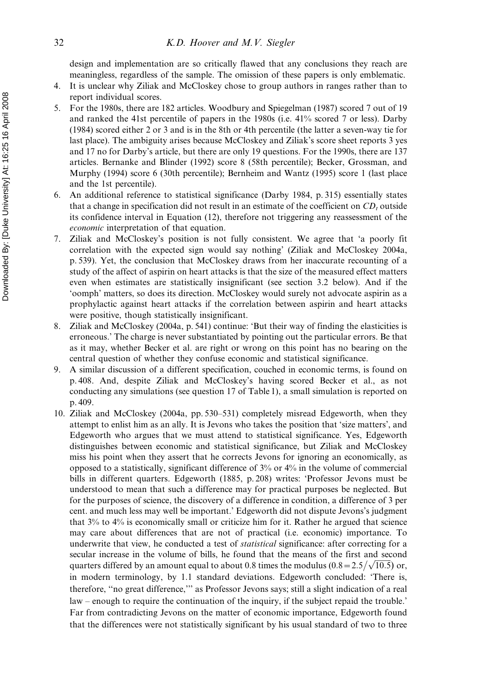design and implementation are so critically flawed that any conclusions they reach are meaningless, regardless of the sample. The omission of these papers is only emblematic.

- 4. It is unclear why Ziliak and McCloskey chose to group authors in ranges rather than to report individual scores.
- 5. For the 1980s, there are 182 articles. Woodbury and Spiegelman (1987) scored 7 out of 19 and ranked the 41st percentile of papers in the 1980s (i.e. 41% scored 7 or less). Darby (1984) scored either 2 or 3 and is in the 8th or 4th percentile (the latter a seven-way tie for last place). The ambiguity arises because McCloskey and Ziliak's score sheet reports 3 yes and 17 no for Darby's article, but there are only 19 questions. For the 1990s, there are 137 articles. Bernanke and Blinder (1992) score 8 (58th percentile); Becker, Grossman, and Murphy (1994) score 6 (30th percentile); Bernheim and Wantz (1995) score 1 (last place and the 1st percentile).
- 6. An additional reference to statistical significance (Darby 1984, p. 315) essentially states that a change in specification did not result in an estimate of the coefficient on  $CD<sub>t</sub>$  outside its confidence interval in Equation (12), therefore not triggering any reassessment of the economic interpretation of that equation.
- 7. Ziliak and McCloskey's position is not fully consistent. We agree that 'a poorly fit correlation with the expected sign would say nothing' (Ziliak and McCloskey 2004a, p. 539). Yet, the conclusion that McCloskey draws from her inaccurate recounting of a study of the affect of aspirin on heart attacks is that the size of the measured effect matters even when estimates are statistically insignificant (see section 3.2 below). And if the 'oomph' matters, so does its direction. McCloskey would surely not advocate aspirin as a prophylactic against heart attacks if the correlation between aspirin and heart attacks were positive, though statistically insignificant.
- 8. Ziliak and McCloskey (2004a, p. 541) continue: 'But their way of finding the elasticities is erroneous.' The charge is never substantiated by pointing out the particular errors. Be that as it may, whether Becker et al. are right or wrong on this point has no bearing on the central question of whether they confuse economic and statistical significance.
- 9. A similar discussion of a different specification, couched in economic terms, is found on p. 408. And, despite Ziliak and McCloskey's having scored Becker et al., as not conducting any simulations (see question 17 of Table 1), a small simulation is reported on p. 409.
- 10. Ziliak and McCloskey (2004a, pp. 530–531) completely misread Edgeworth, when they attempt to enlist him as an ally. It is Jevons who takes the position that 'size matters', and Edgeworth who argues that we must attend to statistical significance. Yes, Edgeworth distinguishes between economic and statistical significance, but Ziliak and McCloskey miss his point when they assert that he corrects Jevons for ignoring an economically, as opposed to a statistically, significant difference of 3% or 4% in the volume of commercial bills in different quarters. Edgeworth (1885, p. 208) writes: 'Professor Jevons must be understood to mean that such a difference may for practical purposes be neglected. But for the purposes of science, the discovery of a difference in condition, a difference of 3 per cent. and much less may well be important.' Edgeworth did not dispute Jevons's judgment that 3% to 4% is economically small or criticize him for it. Rather he argued that science may care about differences that are not of practical (i.e. economic) importance. To underwrite that view, he conducted a test of *statistical* significance: after correcting for a secular increase in the volume of bills, he found that the means of the first and second secular increase in the volume of bills, he found that the means of the first and second<br>quarters differed by an amount equal to about 0.8 times the modulus  $(0.8 = 2.5/\sqrt{10.5})$  or, in modern terminology, by 1.1 standard deviations. Edgeworth concluded: 'There is, therefore, ''no great difference,''' as Professor Jevons says; still a slight indication of a real law – enough to require the continuation of the inquiry, if the subject repaid the trouble.' Far from contradicting Jevons on the matter of economic importance, Edgeworth found that the differences were not statistically significant by his usual standard of two to three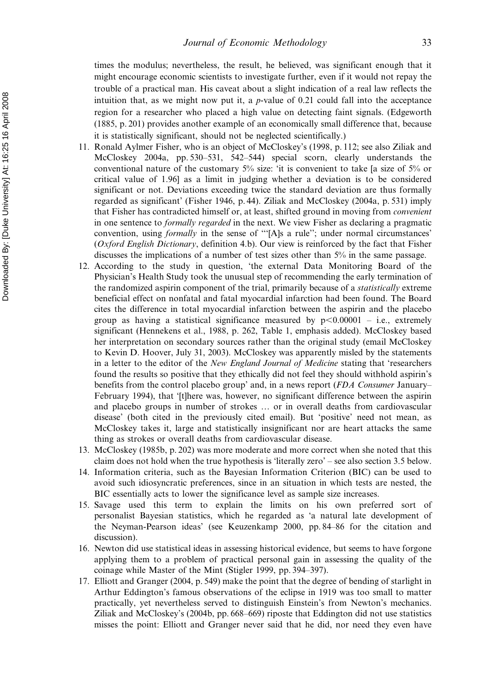times the modulus; nevertheless, the result, he believed, was significant enough that it might encourage economic scientists to investigate further, even if it would not repay the trouble of a practical man. His caveat about a slight indication of a real law reflects the intuition that, as we might now put it, a p-value of 0.21 could fall into the acceptance region for a researcher who placed a high value on detecting faint signals. (Edgeworth (1885, p. 201) provides another example of an economically small difference that, because it is statistically significant, should not be neglected scientifically.)

- 11. Ronald Aylmer Fisher, who is an object of McCloskey's (1998, p. 112; see also Ziliak and McCloskey 2004a, pp. 530–531, 542–544) special scorn, clearly understands the conventional nature of the customary 5% size: 'it is convenient to take [a size of 5% or critical value of 1.96] as a limit in judging whether a deviation is to be considered significant or not. Deviations exceeding twice the standard deviation are thus formally regarded as significant' (Fisher 1946, p. 44). Ziliak and McCloskey (2004a, p. 531) imply that Fisher has contradicted himself or, at least, shifted ground in moving from convenient in one sentence to formally regarded in the next. We view Fisher as declaring a pragmatic convention, using formally in the sense of '''[A]s a rule''; under normal circumstances' (Oxford English Dictionary, definition 4.b). Our view is reinforced by the fact that Fisher discusses the implications of a number of test sizes other than 5% in the same passage.
- 12. According to the study in question, 'the external Data Monitoring Board of the Physician's Health Study took the unusual step of recommending the early termination of the randomized aspirin component of the trial, primarily because of a statistically extreme beneficial effect on nonfatal and fatal myocardial infarction had been found. The Board cites the difference in total myocardial infarction between the aspirin and the placebo group as having a statistical significance measured by  $p<0.00001$  – i.e., extremely significant (Hennekens et al., 1988, p. 262, Table 1, emphasis added). McCloskey based her interpretation on secondary sources rather than the original study (email McCloskey to Kevin D. Hoover, July 31, 2003). McCloskey was apparently misled by the statements in a letter to the editor of the New England Journal of Medicine stating that 'researchers found the results so positive that they ethically did not feel they should withhold aspirin's benefits from the control placebo group' and, in a news report (FDA Consumer January– February 1994), that '[t]here was, however, no significant difference between the aspirin and placebo groups in number of strokes … or in overall deaths from cardiovascular disease' (both cited in the previously cited email). But 'positive' need not mean, as McCloskey takes it, large and statistically insignificant nor are heart attacks the same thing as strokes or overall deaths from cardiovascular disease.
- 13. McCloskey (1985b, p. 202) was more moderate and more correct when she noted that this claim does not hold when the true hypothesis is 'literally zero' – see also section 3.5 below.
- 14. Information criteria, such as the Bayesian Information Criterion (BIC) can be used to avoid such idiosyncratic preferences, since in an situation in which tests are nested, the BIC essentially acts to lower the significance level as sample size increases.
- 15. Savage used this term to explain the limits on his own preferred sort of personalist Bayesian statistics, which he regarded as 'a natural late development of the Neyman-Pearson ideas' (see Keuzenkamp 2000, pp. 84–86 for the citation and discussion).
- 16. Newton did use statistical ideas in assessing historical evidence, but seems to have forgone applying them to a problem of practical personal gain in assessing the quality of the coinage while Master of the Mint (Stigler 1999, pp. 394–397).
- 17. Elliott and Granger (2004, p. 549) make the point that the degree of bending of starlight in Arthur Eddington's famous observations of the eclipse in 1919 was too small to matter practically, yet nevertheless served to distinguish Einstein's from Newton's mechanics. Ziliak and McCloskey's (2004b, pp. 668–669) riposte that Eddington did not use statistics misses the point: Elliott and Granger never said that he did, nor need they even have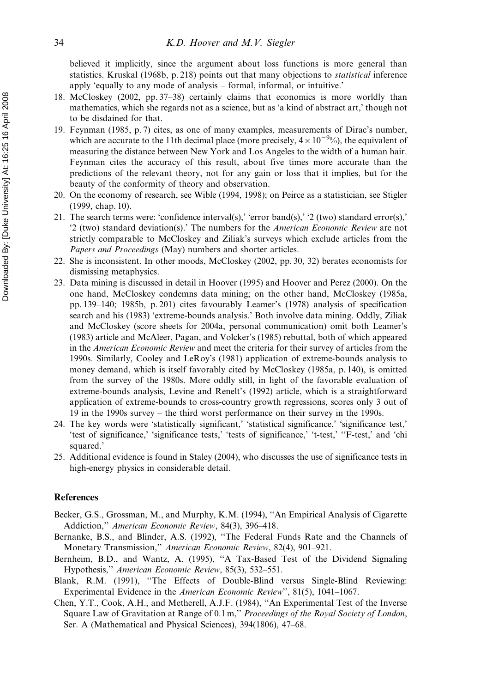believed it implicitly, since the argument about loss functions is more general than statistics. Kruskal (1968b, p. 218) points out that many objections to *statistical* inference apply 'equally to any mode of analysis – formal, informal, or intuitive.'

- 18. McCloskey (2002, pp. 37–38) certainly claims that economics is more worldly than mathematics, which she regards not as a science, but as 'a kind of abstract art,' though not to be disdained for that.
- 19. Feynman (1985, p. 7) cites, as one of many examples, measurements of Dirac's number, which are accurate to the 11th decimal place (more precisely,  $4 \times 10^{-9}$ %), the equivalent of measuring the distance between New York and Los Angeles to the width of a human hair. Feynman cites the accuracy of this result, about five times more accurate than the predictions of the relevant theory, not for any gain or loss that it implies, but for the beauty of the conformity of theory and observation.
- 20. On the economy of research, see Wible (1994, 1998); on Peirce as a statistician, see Stigler (1999, chap. 10).
- 21. The search terms were: 'confidence interval(s),' 'error band(s),' '2 (two) standard error(s),'  $2$  (two) standard deviation(s). The numbers for the *American Economic Review* are not strictly comparable to McCloskey and Ziliak's surveys which exclude articles from the Papers and Proceedings (May) numbers and shorter articles.
- 22. She is inconsistent. In other moods, McCloskey (2002, pp. 30, 32) berates economists for dismissing metaphysics.
- 23. Data mining is discussed in detail in Hoover (1995) and Hoover and Perez (2000). On the one hand, McCloskey condemns data mining; on the other hand, McCloskey (1985a, pp. 139–140; 1985b, p. 201) cites favourably Leamer's (1978) analysis of specification search and his (1983) 'extreme-bounds analysis.' Both involve data mining. Oddly, Ziliak and McCloskey (score sheets for 2004a, personal communication) omit both Leamer's (1983) article and McAleer, Pagan, and Volcker's (1985) rebuttal, both of which appeared in the American Economic Review and meet the criteria for their survey of articles from the 1990s. Similarly, Cooley and LeRoy's (1981) application of extreme-bounds analysis to money demand, which is itself favorably cited by McCloskey (1985a, p. 140), is omitted from the survey of the 1980s. More oddly still, in light of the favorable evaluation of extreme-bounds analysis, Levine and Renelt's (1992) article, which is a straightforward application of extreme-bounds to cross-country growth regressions, scores only 3 out of 19 in the 1990s survey – the third worst performance on their survey in the 1990s.
- 24. The key words were 'statistically significant,' 'statistical significance,' 'significance test,' 'test of significance,' 'significance tests,' 'tests of significance,' 't-test,' ''F-test,' and 'chi squared.'
- 25. Additional evidence is found in Staley (2004), who discusses the use of significance tests in high-energy physics in considerable detail.

### References

- Becker, G.S., Grossman, M., and Murphy, K.M. (1994), ''An Empirical Analysis of Cigarette Addiction,'' American Economic Review, 84(3), 396–418.
- Bernanke, B.S., and Blinder, A.S. (1992), ''The Federal Funds Rate and the Channels of Monetary Transmission,'' American Economic Review, 82(4), 901–921.
- Bernheim, B.D., and Wantz, A. (1995), ''A Tax-Based Test of the Dividend Signaling Hypothesis,'' American Economic Review, 85(3), 532–551.
- Blank, R.M. (1991), ''The Effects of Double-Blind versus Single-Blind Reviewing: Experimental Evidence in the American Economic Review'', 81(5), 1041–1067.
- Chen, Y.T., Cook, A.H., and Metherell, A.J.F. (1984), ''An Experimental Test of the Inverse Square Law of Gravitation at Range of 0.1 m," Proceedings of the Royal Society of London, Ser. A (Mathematical and Physical Sciences), 394(1806), 47–68.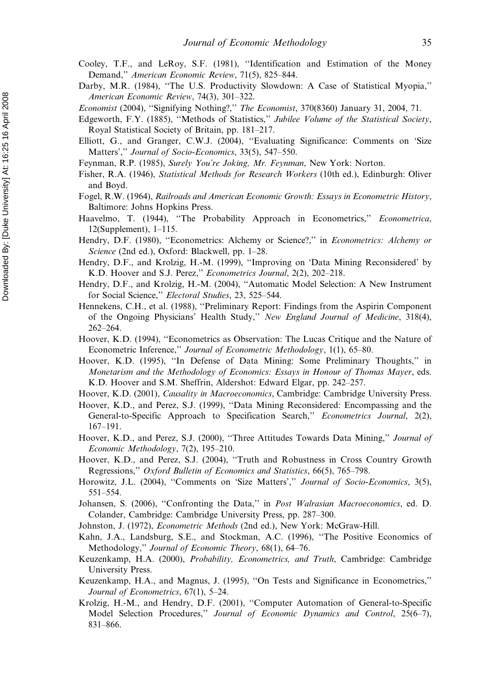- Cooley, T.F., and LeRoy, S.F. (1981), ''Identification and Estimation of the Money Demand,'' American Economic Review, 71(5), 825–844.
- Darby, M.R. (1984), ''The U.S. Productivity Slowdown: A Case of Statistical Myopia,'' American Economic Review, 74(3), 301–322.
- Economist (2004), ''Signifying Nothing?,'' The Economist, 370(8360) January 31, 2004, 71.
- Edgeworth, F.Y. (1885), "Methods of Statistics," Jubilee Volume of the Statistical Society, Royal Statistical Society of Britain, pp. 181–217.
- Elliott, G., and Granger, C.W.J. (2004), ''Evaluating Significance: Comments on 'Size Matters','' Journal of Socio-Economics, 33(5), 547–550.
- Feynman, R.P. (1985), Surely You're Joking, Mr. Feynman, New York: Norton.
- Fisher, R.A. (1946), Statistical Methods for Research Workers (10th ed.), Edinburgh: Oliver and Boyd.
- Fogel, R.W. (1964), Railroads and American Economic Growth: Essays in Econometric History, Baltimore: Johns Hopkins Press.
- Haavelmo, T. (1944), "The Probability Approach in Econometrics," Econometrica, 12(Supplement), 1–115.
- Hendry, D.F. (1980), "Econometrics: Alchemy or Science?," in *Econometrics: Alchemy or* Science (2nd ed.), Oxford: Blackwell, pp. 1–28.
- Hendry, D.F., and Krolzig, H.-M. (1999), ''Improving on 'Data Mining Reconsidered' by K.D. Hoover and S.J. Perez,'' Econometrics Journal, 2(2), 202–218.
- Hendry, D.F., and Krolzig, H.-M. (2004), ''Automatic Model Selection: A New Instrument for Social Science,'' Electoral Studies, 23, 525–544.
- Hennekens, C.H., et al. (1988), ''Preliminary Report: Findings from the Aspirin Component of the Ongoing Physicians' Health Study,'' New England Journal of Medicine, 318(4), 262–264.
- Hoover, K.D. (1994), ''Econometrics as Observation: The Lucas Critique and the Nature of Econometric Inference," Journal of Econometric Methodology, 1(1), 65–80.
- Hoover, K.D. (1995), ''In Defense of Data Mining: Some Preliminary Thoughts,'' in Monetarism and the Methodology of Economics: Essays in Honour of Thomas Mayer, eds. K.D. Hoover and S.M. Sheffrin, Aldershot: Edward Elgar, pp. 242–257.
- Hoover, K.D. (2001), Causality in Macroeconomics, Cambridge: Cambridge University Press.
- Hoover, K.D., and Perez, S.J. (1999), ''Data Mining Reconsidered: Encompassing and the General-to-Specific Approach to Specification Search,'' Econometrics Journal, 2(2), 167–191.
- Hoover, K.D., and Perez, S.J. (2000), "Three Attitudes Towards Data Mining," Journal of Economic Methodology, 7(2), 195–210.
- Hoover, K.D., and Perez, S.J. (2004), ''Truth and Robustness in Cross Country Growth Regressions,'' Oxford Bulletin of Economics and Statistics, 66(5), 765–798.
- Horowitz, J.L. (2004), "Comments on 'Size Matters'," Journal of Socio-Economics, 3(5), 551–554.
- Johansen, S. (2006), ''Confronting the Data,'' in Post Walrasian Macroeconomics, ed. D. Colander, Cambridge: Cambridge University Press, pp. 287–300.
- Johnston, J. (1972), Econometric Methods (2nd ed.), New York: McGraw-Hill.
- Kahn, J.A., Landsburg, S.E., and Stockman, A.C. (1996), "The Positive Economics of Methodology,'' Journal of Economic Theory, 68(1), 64–76.
- Keuzenkamp, H.A. (2000), Probability, Econometrics, and Truth, Cambridge: Cambridge University Press.
- Keuzenkamp, H.A., and Magnus, J. (1995), ''On Tests and Significance in Econometrics,'' Journal of Econometrics, 67(1), 5–24.
- Krolzig, H.-M., and Hendry, D.F. (2001), ''Computer Automation of General-to-Specific Model Selection Procedures,'' Journal of Economic Dynamics and Control, 25(6–7), 831–866.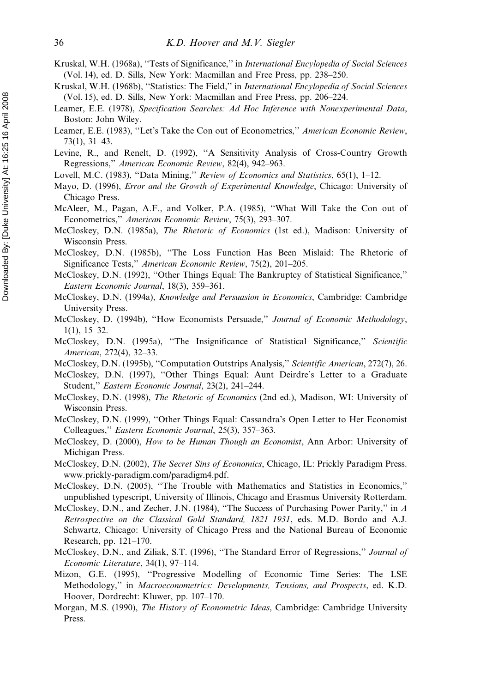- Kruskal, W.H. (1968a), ''Tests of Significance,'' in International Encylopedia of Social Sciences (Vol. 14), ed. D. Sills, New York: Macmillan and Free Press, pp. 238–250.
- Kruskal, W.H. (1968b), ''Statistics: The Field,'' in International Encylopedia of Social Sciences (Vol. 15), ed. D. Sills, New York: Macmillan and Free Press, pp. 206–224.
- Leamer, E.E. (1978), Specification Searches: Ad Hoc Inference with Nonexperimental Data, Boston: John Wiley.
- Leamer, E.E. (1983), "Let's Take the Con out of Econometrics," American Economic Review, 73(1), 31–43.
- Levine, R., and Renelt, D. (1992), ''A Sensitivity Analysis of Cross-Country Growth Regressions,'' American Economic Review, 82(4), 942–963.
- Lovell, M.C. (1983), "Data Mining," Review of Economics and Statistics, 65(1), 1-12.
- Mayo, D. (1996), *Error and the Growth of Experimental Knowledge*, Chicago: University of Chicago Press.
- McAleer, M., Pagan, A.F., and Volker, P.A. (1985), ''What Will Take the Con out of Econometrics,'' American Economic Review, 75(3), 293–307.
- McCloskey, D.N. (1985a), The Rhetoric of Economics (1st ed.), Madison: University of Wisconsin Press.
- McCloskey, D.N. (1985b), ''The Loss Function Has Been Mislaid: The Rhetoric of Significance Tests,'' American Economic Review, 75(2), 201–205.
- McCloskey, D.N. (1992), ''Other Things Equal: The Bankruptcy of Statistical Significance,'' Eastern Economic Journal, 18(3), 359–361.
- McCloskey, D.N. (1994a), Knowledge and Persuasion in Economics, Cambridge: Cambridge University Press.
- McCloskey, D. (1994b), ''How Economists Persuade,'' Journal of Economic Methodology, 1(1), 15–32.
- McCloskey, D.N. (1995a), ''The Insignificance of Statistical Significance,'' Scientific American, 272(4), 32–33.
- McCloskey, D.N. (1995b), ''Computation Outstrips Analysis,'' Scientific American, 272(7), 26.
- McCloskey, D.N. (1997), ''Other Things Equal: Aunt Deirdre's Letter to a Graduate Student,'' Eastern Economic Journal, 23(2), 241–244.
- McCloskey, D.N. (1998), The Rhetoric of Economics (2nd ed.), Madison, WI: University of Wisconsin Press.
- McCloskey, D.N. (1999), ''Other Things Equal: Cassandra's Open Letter to Her Economist Colleagues,'' Eastern Economic Journal, 25(3), 357–363.
- McCloskey, D. (2000), How to be Human Though an Economist, Ann Arbor: University of Michigan Press.
- McCloskey, D.N. (2002), The Secret Sins of Economics, Chicago, IL: Prickly Paradigm Press. www.prickly-paradigm.com/paradigm4.pdf.
- McCloskey, D.N. (2005), ''The Trouble with Mathematics and Statistics in Economics,'' unpublished typescript, University of Illinois, Chicago and Erasmus University Rotterdam.
- McCloskey, D.N., and Zecher, J.N. (1984), ''The Success of Purchasing Power Parity,'' in A Retrospective on the Classical Gold Standard, 1821–1931, eds. M.D. Bordo and A.J. Schwartz, Chicago: University of Chicago Press and the National Bureau of Economic Research, pp. 121–170.
- McCloskey, D.N., and Ziliak, S.T. (1996), ''The Standard Error of Regressions,'' Journal of Economic Literature, 34(1), 97–114.
- Mizon, G.E. (1995), ''Progressive Modelling of Economic Time Series: The LSE Methodology," in *Macroeconometrics: Developments, Tensions, and Prospects*, ed. K.D. Hoover, Dordrecht: Kluwer, pp. 107–170.
- Morgan, M.S. (1990), The History of Econometric Ideas, Cambridge: Cambridge University Press.